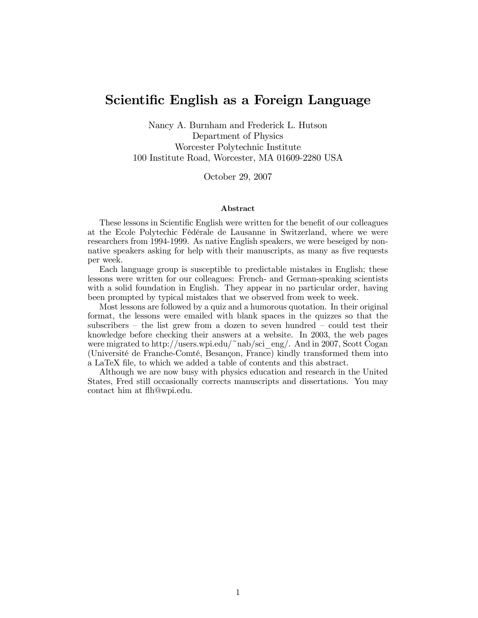# Scientific English as a Foreign Language

Nancy A. Burnham and Frederick L. Hutson Department of Physics Worcester Polytechnic Institute 100 Institute Road, Worcester, MA 01609-2280 USA

October 29, 2007

#### Abstract

These lessons in Scientific English were written for the benefit of our colleagues at the Ecole Polytechic Fédérale de Lausanne in Switzerland, where we were researchers from 1994-1999. As native English speakers, we were beseiged by nonnative speakers asking for help with their manuscripts, as many as five requests per week.

Each language group is susceptible to predictable mistakes in English; these lessons were written for our colleagues: French- and German-speaking scientists with a solid foundation in English. They appear in no particular order, having been prompted by typical mistakes that we observed from week to week.

Most lessons are followed by a quiz and a humorous quotation. In their original format, the lessons were emailed with blank spaces in the quizzes so that the subscribers — the list grew from a dozen to seven hundred — could test their knowledge before checking their answers at a website. In 2003, the web pages were migrated to http://users.wpi.edu/~nab/sci\_eng/. And in 2007, Scott Cogan (Université de Franche-Comté, Besançon, France) kindly transformed them into a LaTeX file, to which we added a table of contents and this abstract.

Although we are now busy with physics education and research in the United States, Fred still occasionally corrects manuscripts and dissertations. You may contact him at flh@wpi.edu.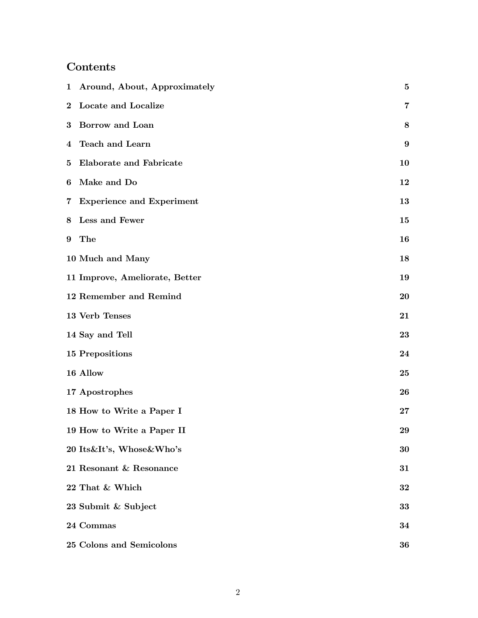# Contents

|                | 1 Around, About, Approximately | $\bf{5}$ |
|----------------|--------------------------------|----------|
| $\bf{2}$       | Locate and Localize            | 7        |
| $\bf{3}$       | Borrow and Loan                | 8        |
| $\overline{4}$ | Teach and Learn                | 9        |
| 5              | <b>Elaborate and Fabricate</b> | 10       |
| 6              | Make and Do                    | 12       |
|                | 7 Experience and Experiment    | 13       |
| 8              | Less and Fewer                 | 15       |
| 9              | The                            | 16       |
|                | 10 Much and Many               | 18       |
|                | 11 Improve, Ameliorate, Better | 19       |
|                | 12 Remember and Remind         | 20       |
|                | 13 Verb Tenses                 | 21       |
|                | 14 Say and Tell                | 23       |
|                | <b>15 Prepositions</b>         | 24       |
|                | 16 Allow                       | 25       |
|                | 17 Apostrophes                 | 26       |
|                | 18 How to Write a Paper I      | $27\,$   |
|                | 19 How to Write a Paper II     | 29       |
|                | 20 Its&It's, Whose&Who's       | 30       |
|                | 21 Resonant & Resonance        | 31       |
|                | 22 That & Which                | 32       |
|                | 23 Submit & Subject            | 33       |
|                | 24 Commas                      | 34       |
|                | 25 Colons and Semicolons       | 36       |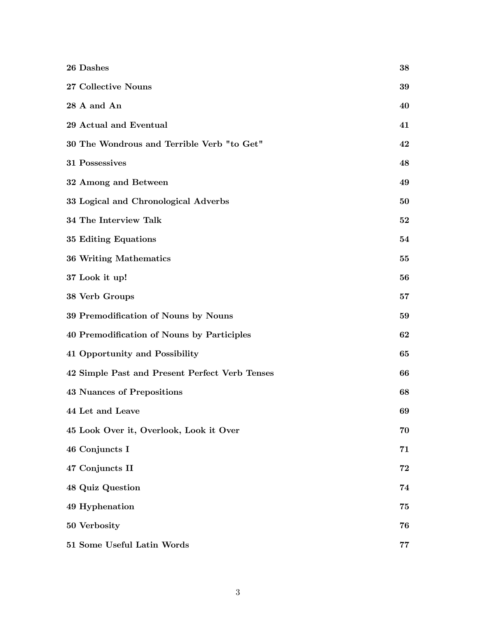| $26$ Dashes $\,$                               | 38 |
|------------------------------------------------|----|
| 27 Collective Nouns                            | 39 |
| 28 A and An                                    | 40 |
| 29 Actual and Eventual                         | 41 |
| 30 The Wondrous and Terrible Verb "to Get"     | 42 |
| 31 Possessives                                 | 48 |
| 32 Among and Between                           | 49 |
| 33 Logical and Chronological Adverbs           | 50 |
| 34 The Interview Talk                          | 52 |
| 35 Editing Equations                           | 54 |
| 36 Writing Mathematics                         | 55 |
| 37 Look it up!                                 | 56 |
| 38 Verb Groups                                 | 57 |
| 39 Premodification of Nouns by Nouns           | 59 |
| 40 Premodification of Nouns by Participles     | 62 |
| 41 Opportunity and Possibility                 | 65 |
| 42 Simple Past and Present Perfect Verb Tenses | 66 |
| <b>43 Nuances of Prepositions</b>              | 68 |
| 44 Let and Leave                               | 69 |
| 45 Look Over it, Overlook, Look it Over        | 70 |
| 46 Conjuncts I                                 | 71 |
| 47 Conjuncts II                                | 72 |
| 48 Quiz Question                               | 74 |
| 49 Hyphenation                                 | 75 |
| 50 Verbosity                                   | 76 |
| 51 Some Useful Latin Words                     | 77 |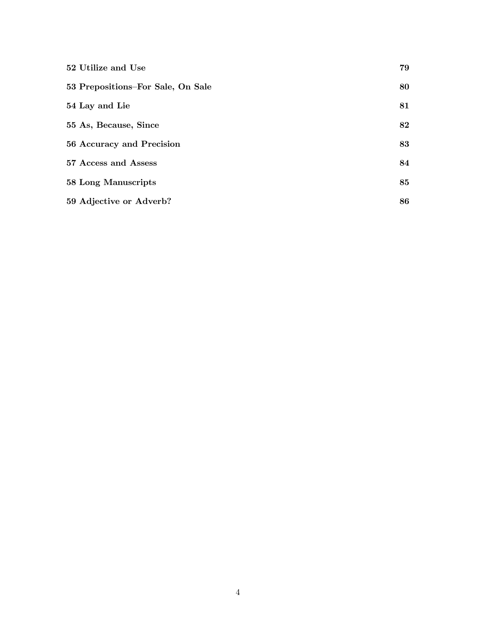| 52 Utilize and Use                | 79 |
|-----------------------------------|----|
| 53 Prepositions-For Sale, On Sale | 80 |
| 54 Lay and Lie                    | 81 |
| 55 As, Because, Since             | 82 |
| 56 Accuracy and Precision         | 83 |
| 57 Access and Assess              | 84 |
| 58 Long Manuscripts               | 85 |
| 59 Adjective or Adverb?           | 86 |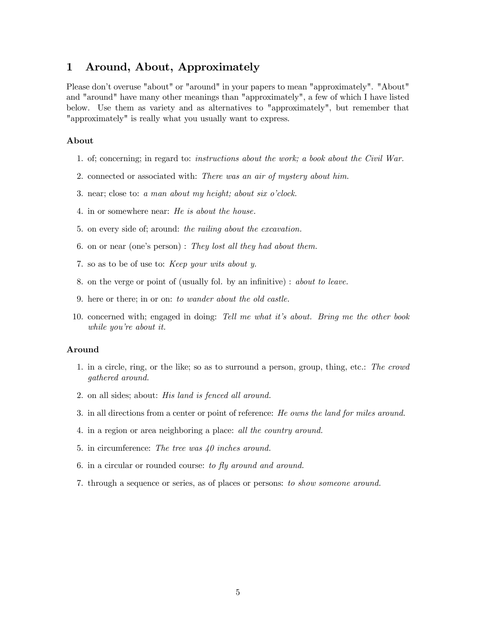#### 1 Around, About, Approximately

Please don't overuse "about" or "around" in your papers to mean "approximately". "About" and "around" have many other meanings than "approximately", a few of which I have listed below. Use them as variety and as alternatives to "approximately", but remember that "approximately" is really what you usually want to express.

#### About

- 1. of; concerning; in regard to: instructions about the work; a book about the Civil War.
- 2. connected or associated with: There was an air of mystery about him.
- 3. near; close to: a man about my height; about six o'clock.
- 4. in or somewhere near: He is about the house.
- 5. on every side of; around: the railing about the excavation.
- 6. on or near (one's person) : They lost all they had about them.
- 7. so as to be of use to: Keep your wits about y.
- 8. on the verge or point of (usually fol. by an infinitive) : about to leave.
- 9. here or there; in or on: to wander about the old castle.
- 10. concerned with; engaged in doing: Tell me what it's about. Bring me the other book while you're about it.

#### Around

- 1. in a circle, ring, or the like; so as to surround a person, group, thing, etc.: The crowd gathered around.
- 2. on all sides; about: His land is fenced all around.
- 3. in all directions from a center or point of reference: He owns the land for miles around.
- 4. in a region or area neighboring a place: all the country around.
- 5. in circumference: The tree was 40 inches around.
- 6. in a circular or rounded course: to fly around and around.
- 7. through a sequence or series, as of places or persons: to show someone around.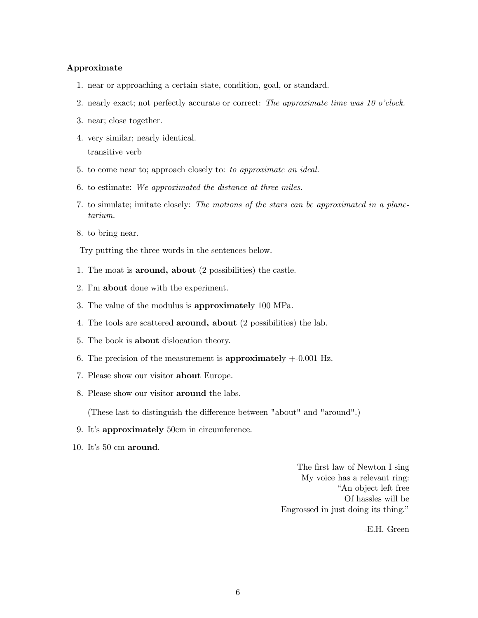#### Approximate

- 1. near or approaching a certain state, condition, goal, or standard.
- 2. nearly exact; not perfectly accurate or correct: The approximate time was 10 o'clock.
- 3. near; close together.
- 4. very similar; nearly identical. transitive verb
- 5. to come near to; approach closely to: to approximate an ideal.
- 6. to estimate: We approximated the distance at three miles.
- 7. to simulate; imitate closely: The motions of the stars can be approximated in a planetarium.
- 8. to bring near.

Try putting the three words in the sentences below.

- 1. The moat is around, about (2 possibilities) the castle.
- 2. I'm about done with the experiment.
- 3. The value of the modulus is approximately 100 MPa.
- 4. The tools are scattered around, about (2 possibilities) the lab.
- 5. The book is about dislocation theory.
- 6. The precision of the measurement is approximately  $+0.001$  Hz.
- 7. Please show our visitor about Europe.
- 8. Please show our visitor around the labs.

(These last to distinguish the difference between "about" and "around".)

- 9. It's approximately 50cm in circumference.
- 10. It's 50 cm around.

The first law of Newton I sing My voice has a relevant ring: "An object left free Of hassles will be Engrossed in just doing its thing."

-E.H. Green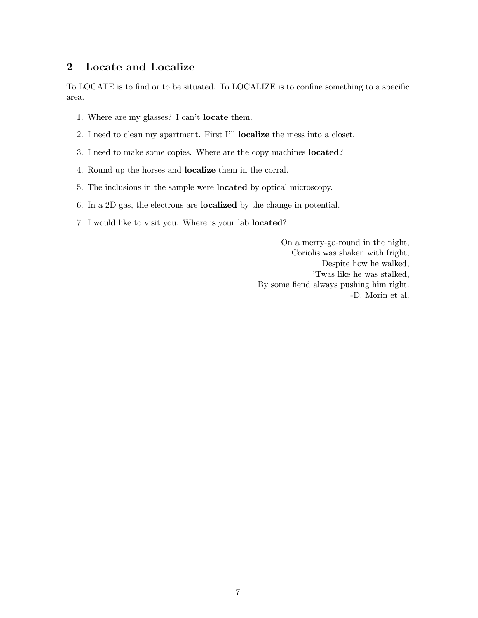# 2 Locate and Localize

To LOCATE is to find or to be situated. To LOCALIZE is to confine something to a specific area.

- 1. Where are my glasses? I can't locate them.
- 2. I need to clean my apartment. First I'll localize the mess into a closet.
- 3. I need to make some copies. Where are the copy machines located?
- 4. Round up the horses and localize them in the corral.
- 5. The inclusions in the sample were located by optical microscopy.
- 6. In a 2D gas, the electrons are localized by the change in potential.
- 7. I would like to visit you. Where is your lab located?

On a merry-go-round in the night, Coriolis was shaken with fright, Despite how he walked, 'Twas like he was stalked, By some fiend always pushing him right. -D. Morin et al.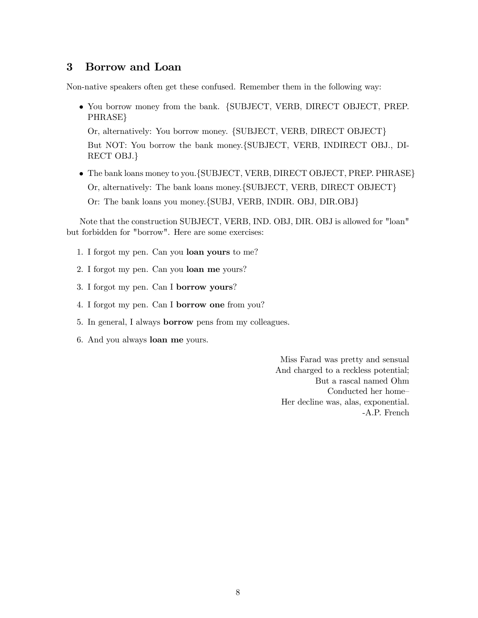### 3 Borrow and Loan

Non-native speakers often get these confused. Remember them in the following way:

• You borrow money from the bank. {SUBJECT, VERB, DIRECT OBJECT, PREP. PHRASE}

Or, alternatively: You borrow money. {SUBJECT, VERB, DIRECT OBJECT} But NOT: You borrow the bank money.{SUBJECT, VERB, INDIRECT OBJ., DI-RECT OBJ.}

• The bank loans money to you.{SUBJECT, VERB, DIRECT OBJECT, PREP. PHRASE} Or, alternatively: The bank loans money.{SUBJECT, VERB, DIRECT OBJECT} Or: The bank loans you money.{SUBJ, VERB, INDIR. OBJ, DIR.OBJ}

Note that the construction SUBJECT, VERB, IND. OBJ, DIR. OBJ is allowed for "loan" but forbidden for "borrow". Here are some exercises:

- 1. I forgot my pen. Can you loan yours to me?
- 2. I forgot my pen. Can you loan me yours?
- 3. I forgot my pen. Can I borrow yours?
- 4. I forgot my pen. Can I borrow one from you?
- 5. In general, I always borrow pens from my colleagues.
- 6. And you always loan me yours.

Miss Farad was pretty and sensual And charged to a reckless potential; But a rascal named Ohm Conducted her home— Her decline was, alas, exponential. -A.P. French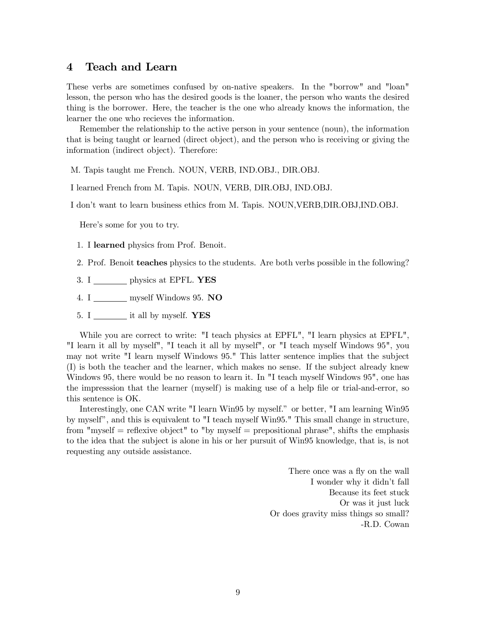#### 4 Teach and Learn

These verbs are sometimes confused by on-native speakers. In the "borrow" and "loan" lesson, the person who has the desired goods is the loaner, the person who wants the desired thing is the borrower. Here, the teacher is the one who already knows the information, the learner the one who recieves the information.

Remember the relationship to the active person in your sentence (noun), the information that is being taught or learned (direct object), and the person who is receiving or giving the information (indirect object). Therefore:

M. Tapis taught me French. NOUN, VERB, IND.OBJ., DIR.OBJ.

I learned French from M. Tapis. NOUN, VERB, DIR.OBJ, IND.OBJ.

I don't want to learn business ethics from M. Tapis. NOUN,VERB,DIR.OBJ,IND.OBJ.

Here's some for you to try.

- 1. I learned physics from Prof. Benoit.
- 2. Prof. Benoit teaches physics to the students. Are both verbs possible in the following?
- 3. I physics at EPFL. YES
- 4. I \_\_\_\_\_\_\_ myself Windows 95. NO
- 5. I  $\frac{1}{\sqrt{1 \frac{1}{\sqrt{1 \frac{1}{\sqrt{1 \frac{1}{\sqrt{1 \frac{1}{\sqrt{1 \frac{1}{\sqrt{1 \frac{1}{\sqrt{1 \frac{1}{\sqrt{1 \frac{1}{\sqrt{1 \frac{1}{\sqrt{1 \frac{1}{\sqrt{1 \frac{1}{\sqrt{1 \frac{1}{\sqrt{1 \frac{1}{\sqrt{1 \frac{1}{\sqrt{1 \frac{1}{\sqrt{1 \frac{1}{\sqrt{1 \frac{1}{\sqrt{1 \frac{1}{\sqrt{1 \frac{1}{\sqrt{1 \frac{1}{\sqrt{1 \frac{1}{$

While you are correct to write: "I teach physics at EPFL", "I learn physics at EPFL", "I learn it all by myself", "I teach it all by myself", or "I teach myself Windows 95", you may not write "I learn myself Windows 95." This latter sentence implies that the subject (I) is both the teacher and the learner, which makes no sense. If the subject already knew Windows 95, there would be no reason to learn it. In "I teach myself Windows 95", one has the impresssion that the learner (myself) is making use of a help file or trial-and-error, so this sentence is OK.

Interestingly, one CAN write "I learn Win95 by myself." or better, "I am learning Win95 by myself", and this is equivalent to "I teach myself Win95." This small change in structure, from "myself  $=$  reflexive object" to "by myself  $=$  prepositional phrase", shifts the emphasis to the idea that the subject is alone in his or her pursuit of Win95 knowledge, that is, is not requesting any outside assistance.

> There once was a fly on the wall I wonder why it didn't fall Because its feet stuck Or was it just luck Or does gravity miss things so small? -R.D. Cowan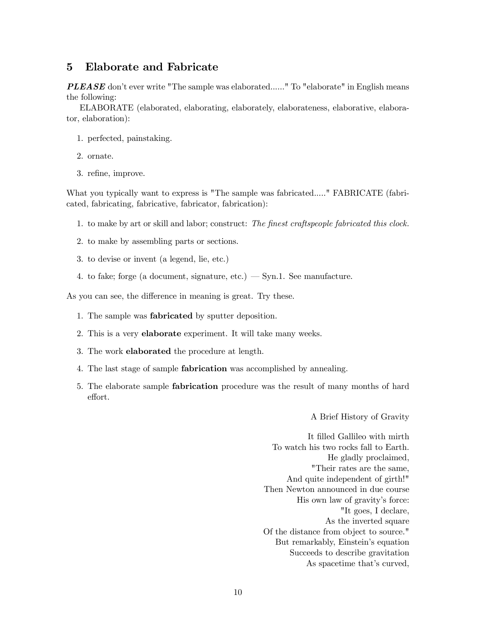#### 5 Elaborate and Fabricate

PLEASE don't ever write "The sample was elaborated......" To "elaborate" in English means the following:

ELABORATE (elaborated, elaborating, elaborately, elaborateness, elaborative, elaborator, elaboration):

- 1. perfected, painstaking.
- 2. ornate.
- 3. refine, improve.

What you typically want to express is "The sample was fabricated....." FABRICATE (fabricated, fabricating, fabricative, fabricator, fabrication):

- 1. to make by art or skill and labor; construct: The finest craftspeople fabricated this clock.
- 2. to make by assembling parts or sections.
- 3. to devise or invent (a legend, lie, etc.)
- 4. to fake; forge (a document, signature, etc.)  $-$  Syn.1. See manufacture.

As you can see, the difference in meaning is great. Try these.

- 1. The sample was fabricated by sputter deposition.
- 2. This is a very elaborate experiment. It will take many weeks.
- 3. The work elaborated the procedure at length.
- 4. The last stage of sample fabrication was accomplished by annealing.
- 5. The elaborate sample fabrication procedure was the result of many months of hard effort.

A Brief History of Gravity

It filled Gallileo with mirth To watch his two rocks fall to Earth. He gladly proclaimed, "Their rates are the same, And quite independent of girth!" Then Newton announced in due course His own law of gravity's force: "It goes, I declare, As the inverted square Of the distance from object to source." But remarkably, Einstein's equation Succeeds to describe gravitation As spacetime that's curved,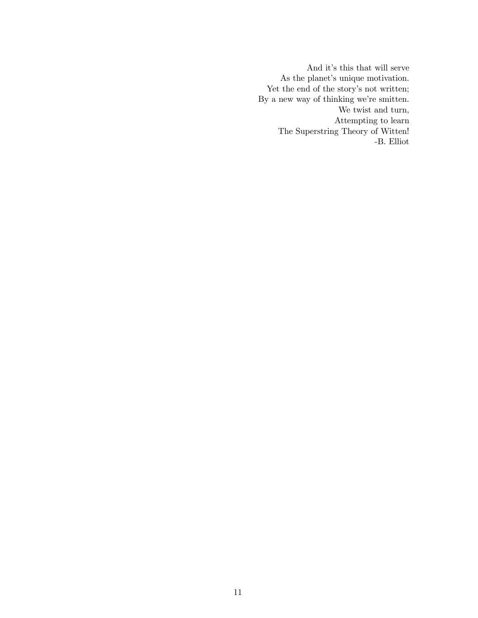And it's this that will serve As the planet's unique motivation. Yet the end of the story's not written; By a new way of thinking we're smitten. We twist and turn, Attempting to learn The Superstring Theory of Witten! -B. Elliot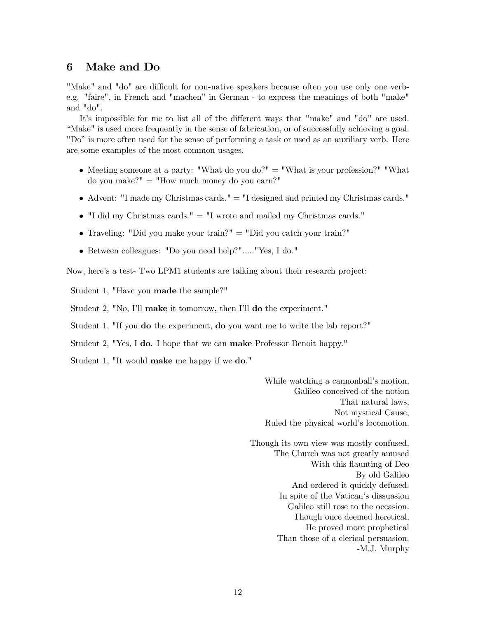#### 6 Make and Do

"Make" and "do" are difficult for non-native speakers because often you use only one verbe.g. "faire", in French and "machen" in German - to express the meanings of both "make" and "do".

It's impossible for me to list all of the different ways that "make" and "do" are used. "Make" is used more frequently in the sense of fabrication, or of successfully achieving a goal. "Do" is more often used for the sense of performing a task or used as an auxiliary verb. Here are some examples of the most common usages.

- Meeting someone at a party: "What do you do?"  $=$  "What is your profession?" "What do you make?" = "How much money do you earn?"
- Advent: "I made my Christmas cards." = "I designed and printed my Christmas cards."
- $\bullet$  "I did my Christmas cards." = "I wrote and mailed my Christmas cards."
- Traveling: "Did you make your train?"  $=$  "Did you catch your train?"
- Between colleagues: "Do you need help?"....."Yes, I do."

Now, here's a test- Two LPM1 students are talking about their research project:

Student 1, "Have you made the sample?"

Student 2, "No, I'll make it tomorrow, then I'll do the experiment."

Student 1, "If you do the experiment, do you want me to write the lab report?"

Student 2, "Yes, I do. I hope that we can make Professor Benoit happy."

Student 1, "It would make me happy if we do."

While watching a cannonball's motion, Galileo conceived of the notion That natural laws, Not mystical Cause, Ruled the physical world's locomotion.

Though its own view was mostly confused, The Church was not greatly amused With this flaunting of Deo By old Galileo And ordered it quickly defused. In spite of the Vatican's dissuasion Galileo still rose to the occasion. Though once deemed heretical, He proved more prophetical Than those of a clerical persuasion. -M.J. Murphy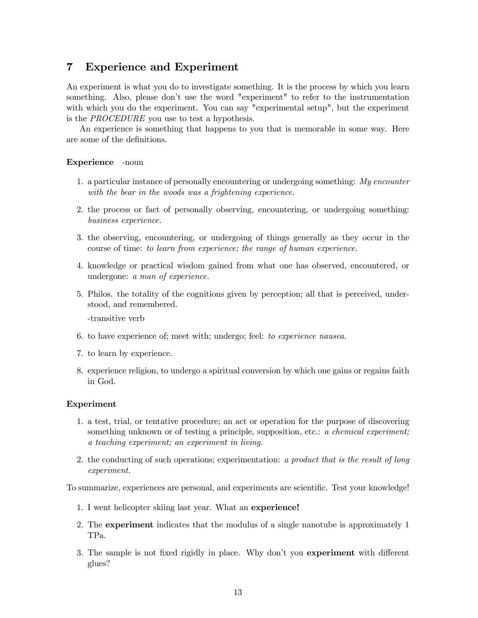### 7 Experience and Experiment

An experiment is what you do to investigate something. It is the process by which you learn something. Also, please don't use the word "experiment" to refer to the instrumentation with which you do the experiment. You can say "experimental setup", but the experiment is the PROCEDURE you use to test a hypothesis.

An experience is something that happens to you that is memorable in some way. Here are some of the definitions.

#### Experience -noun

- 1. a particular instance of personally encountering or undergoing something:  $My$  encounter with the bear in the woods was a frightening experience.
- 2. the process or fact of personally observing, encountering, or undergoing something: business experience.
- 3. the observing, encountering, or undergoing of things generally as they occur in the course of time: to learn from experience; the range of human experience.
- 4. knowledge or practical wisdom gained from what one has observed, encountered, or undergone: a man of experience.
- 5. Philos. the totality of the cognitions given by perception; all that is perceived, understood, and remembered.

-transitive verb

- 6. to have experience of; meet with; undergo; feel: to experience nausea.
- 7. to learn by experience.
- 8. experience religion, to undergo a spiritual conversion by which one gains or regains faith in God.

#### Experiment

- 1. a test, trial, or tentative procedure; an act or operation for the purpose of discovering something unknown or of testing a principle, supposition, etc.: a *chemical experiment*; a teaching experiment; an experiment in living.
- 2. the conducting of such operations; experimentation: a product that is the result of long experiment.

To summarize, experiences are personal, and experiments are scientific. Test your knowledge!

- 1. I went helicopter skiing last year. What an experience!
- 2. The experiment indicates that the modulus of a single nanotube is approximately 1 TPa.
- 3. The sample is not fixed rigidly in place. Why don't you experiment with different glues?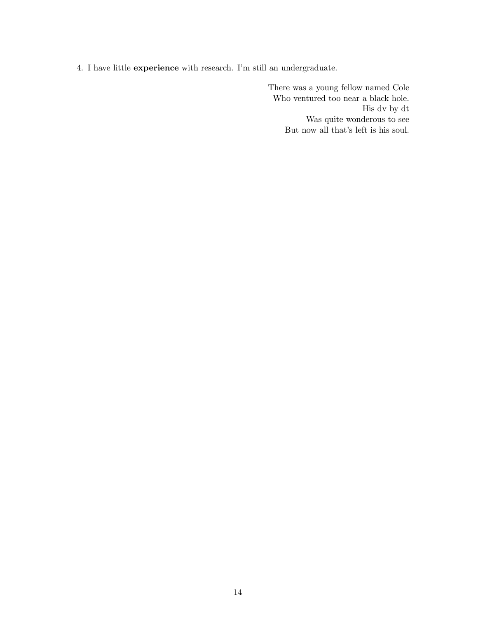4. I have little experience with research. I'm still an undergraduate.

There was a young fellow named Cole Who ventured too near a black hole. His dv by dt Was quite wonderous to see But now all that's left is his soul.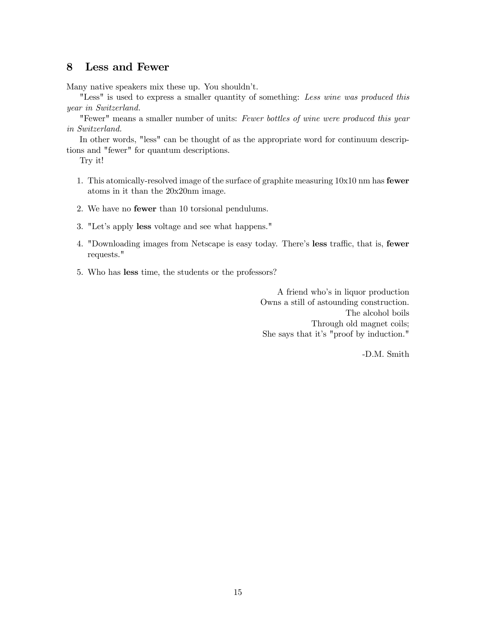#### 8 Less and Fewer

Many native speakers mix these up. You shouldn't.

"Less" is used to express a smaller quantity of something: Less wine was produced this year in Switzerland.

"Fewer" means a smaller number of units: Fewer bottles of wine were produced this year in Switzerland.

In other words, "less" can be thought of as the appropriate word for continuum descriptions and "fewer" for quantum descriptions.

Try it!

- 1. This atomically-resolved image of the surface of graphite measuring 10x10 nm has fewer atoms in it than the 20x20nm image.
- 2. We have no fewer than 10 torsional pendulums.
- 3. "Let's apply less voltage and see what happens."
- 4. "Downloading images from Netscape is easy today. There's less traffic, that is, fewer requests."
- 5. Who has less time, the students or the professors?

A friend who's in liquor production Owns a still of astounding construction. The alcohol boils Through old magnet coils; She says that it's "proof by induction."

-D.M. Smith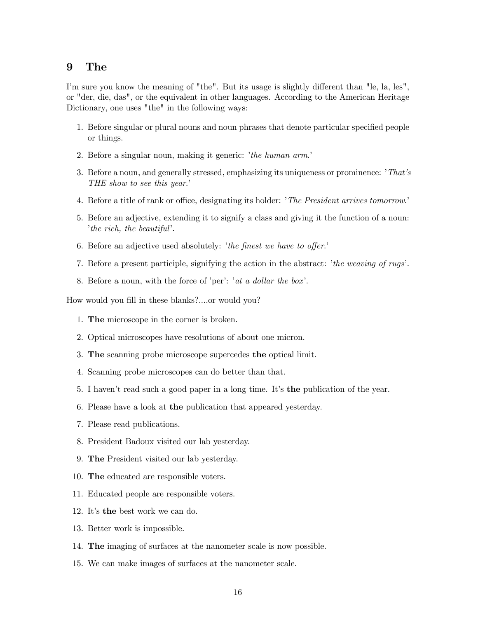#### 9 The

I'm sure you know the meaning of "the". But its usage is slightly different than "le, la, les", or "der, die, das", or the equivalent in other languages. According to the American Heritage Dictionary, one uses "the" in the following ways:

- 1. Before singular or plural nouns and noun phrases that denote particular specified people or things.
- 2. Before a singular noun, making it generic: 'the human arm.'
- 3. Before a noun, and generally stressed, emphasizing its uniqueness or prominence: 'That's THE show to see this year.'
- 4. Before a title of rank or office, designating its holder: 'The President arrives tomorrow.'
- 5. Before an adjective, extending it to signify a class and giving it the function of a noun: 'the rich, the beautiful'.
- 6. Before an adjective used absolutely: 'the finest we have to offer.'
- 7. Before a present participle, signifying the action in the abstract: 'the weaving of rugs'.
- 8. Before a noun, with the force of 'per': 'at a dollar the box'.

How would you fill in these blanks?....or would you?

- 1. The microscope in the corner is broken.
- 2. Optical microscopes have resolutions of about one micron.
- 3. The scanning probe microscope supercedes the optical limit.
- 4. Scanning probe microscopes can do better than that.
- 5. I haven't read such a good paper in a long time. It's the publication of the year.
- 6. Please have a look at the publication that appeared yesterday.
- 7. Please read publications.
- 8. President Badoux visited our lab yesterday.
- 9. The President visited our lab yesterday.
- 10. The educated are responsible voters.
- 11. Educated people are responsible voters.
- 12. It's the best work we can do.
- 13. Better work is impossible.
- 14. The imaging of surfaces at the nanometer scale is now possible.
- 15. We can make images of surfaces at the nanometer scale.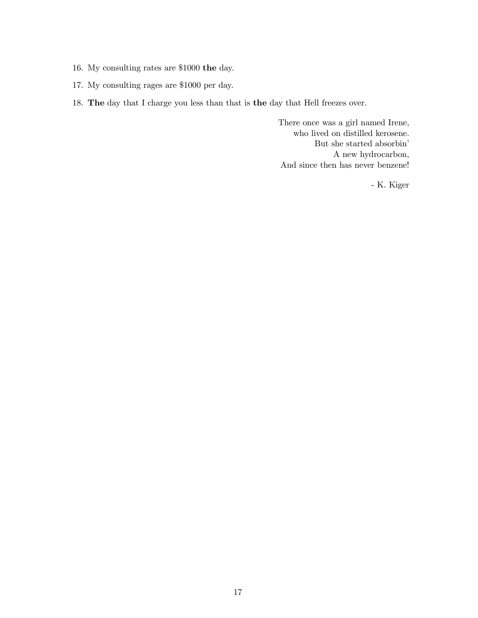- 16. My consulting rates are \$1000 the day.
- 17. My consulting rages are \$1000 per day.
- 18. The day that I charge you less than that is the day that Hell freezes over.

There once was a girl named Irene, who lived on distilled kerosene. But she started absorbin' A new hydrocarbon, And since then has never benzene!

- K. Kiger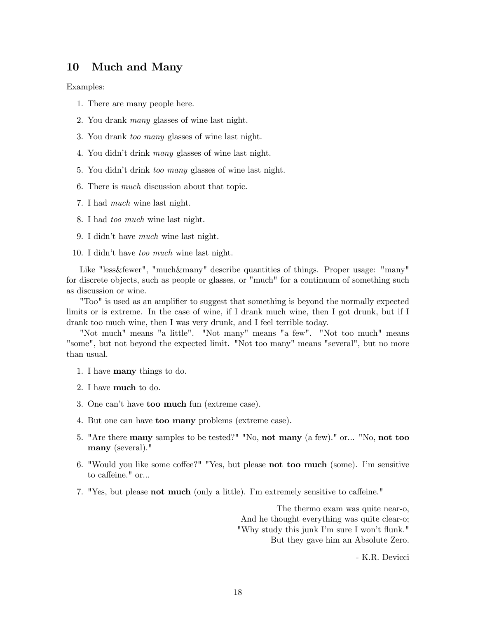### 10 Much and Many

Examples:

- 1. There are many people here.
- 2. You drank many glasses of wine last night.
- 3. You drank too many glasses of wine last night.
- 4. You didn't drink many glasses of wine last night.
- 5. You didn't drink too many glasses of wine last night.
- 6. There is much discussion about that topic.
- 7. I had much wine last night.
- 8. I had too much wine last night.
- 9. I didn't have much wine last night.
- 10. I didn't have too much wine last night.

Like "less&fewer", "much&many" describe quantities of things. Proper usage: "many" for discrete objects, such as people or glasses, or "much" for a continuum of something such as discussion or wine.

"Too" is used as an amplifier to suggest that something is beyond the normally expected limits or is extreme. In the case of wine, if I drank much wine, then I got drunk, but if I drank too much wine, then I was very drunk, and I feel terrible today.

"Not much" means "a little". "Not many" means "a few". "Not too much" means "some", but not beyond the expected limit. "Not too many" means "several", but no more than usual.

- 1. I have many things to do.
- 2. I have much to do.
- 3. One can't have too much fun (extreme case).
- 4. But one can have too many problems (extreme case).
- 5. "Are there many samples to be tested?" "No, not many (a few)." or... "No, not too many (several)."
- 6. "Would you like some coffee?" "Yes, but please not too much (some). I'm sensitive to caffeine." or...
- 7. "Yes, but please not much (only a little). I'm extremely sensitive to caffeine."

The thermo exam was quite near-o, And he thought everything was quite clear-o; "Why study this junk I'm sure I won't flunk." But they gave him an Absolute Zero.

- K.R. Devicci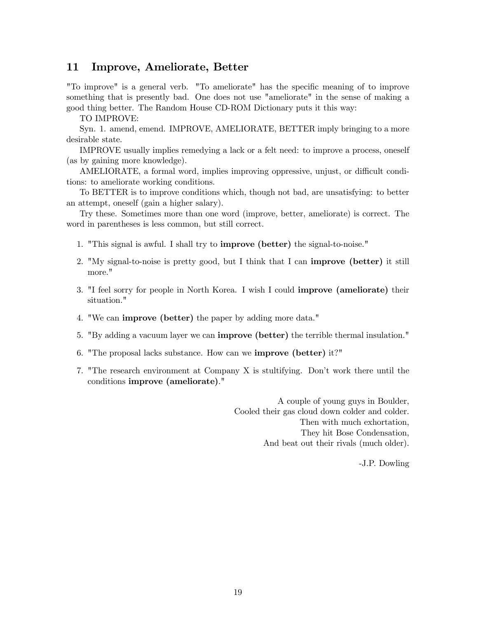#### 11 Improve, Ameliorate, Better

"To improve" is a general verb. "To ameliorate" has the specific meaning of to improve something that is presently bad. One does not use "ameliorate" in the sense of making a good thing better. The Random House CD-ROM Dictionary puts it this way:

TO IMPROVE:

Syn. 1. amend, emend. IMPROVE, AMELIORATE, BETTER imply bringing to a more desirable state.

IMPROVE usually implies remedying a lack or a felt need: to improve a process, oneself (as by gaining more knowledge).

AMELIORATE, a formal word, implies improving oppressive, unjust, or difficult conditions: to ameliorate working conditions.

To BETTER is to improve conditions which, though not bad, are unsatisfying: to better an attempt, oneself (gain a higher salary).

Try these. Sometimes more than one word (improve, better, ameliorate) is correct. The word in parentheses is less common, but still correct.

- 1. "This signal is awful. I shall try to improve (better) the signal-to-noise."
- 2. "My signal-to-noise is pretty good, but I think that I can improve (better) it still more."
- 3. "I feel sorry for people in North Korea. I wish I could improve (ameliorate) their situation."
- 4. "We can improve (better) the paper by adding more data."
- 5. "By adding a vacuum layer we can improve (better) the terrible thermal insulation."
- 6. "The proposal lacks substance. How can we improve (better) it?"
- 7. "The research environment at Company X is stultifying. Don't work there until the conditions improve (ameliorate)."

A couple of young guys in Boulder, Cooled their gas cloud down colder and colder. Then with much exhortation, They hit Bose Condensation, And beat out their rivals (much older).

-J.P. Dowling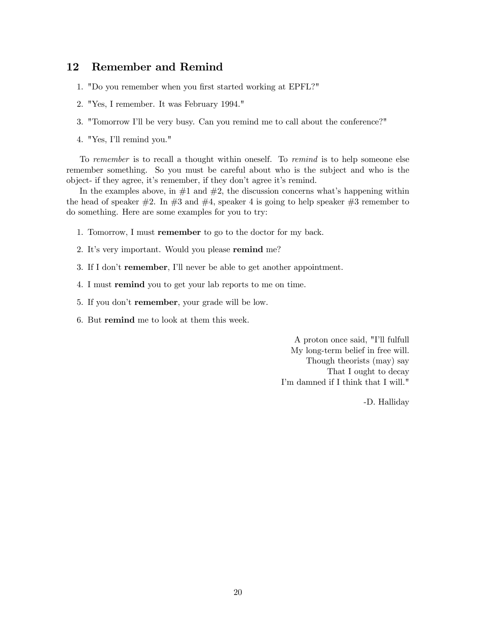#### 12 Remember and Remind

- 1. "Do you remember when you first started working at EPFL?"
- 2. "Yes, I remember. It was February 1994."
- 3. "Tomorrow I'll be very busy. Can you remind me to call about the conference?"
- 4. "Yes, I'll remind you."

To remember is to recall a thought within oneself. To remind is to help someone else remember something. So you must be careful about who is the subject and who is the object- if they agree, it's remember, if they don't agree it's remind.

In the examples above, in  $#1$  and  $#2$ , the discussion concerns what's happening within the head of speaker  $\#2$ . In  $\#3$  and  $\#4$ , speaker 4 is going to help speaker  $\#3$  remember to do something. Here are some examples for you to try:

- 1. Tomorrow, I must remember to go to the doctor for my back.
- 2. It's very important. Would you please remind me?
- 3. If I don't remember, I'll never be able to get another appointment.
- 4. I must remind you to get your lab reports to me on time.
- 5. If you don't remember, your grade will be low.
- 6. But remind me to look at them this week.

A proton once said, "I'll fulfull My long-term belief in free will. Though theorists (may) say That I ought to decay I'm damned if I think that I will."

-D. Halliday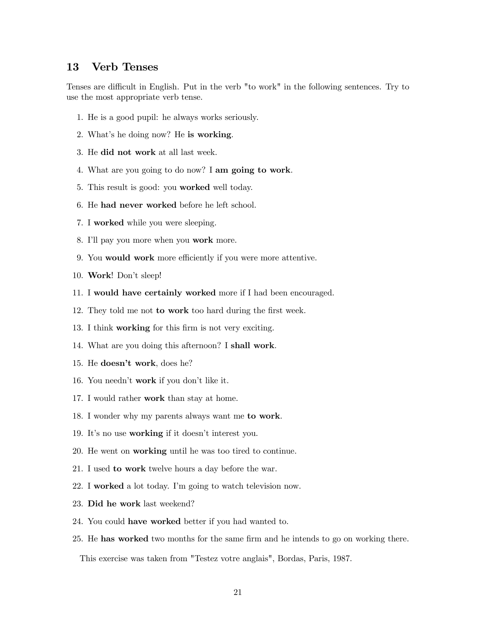#### 13 Verb Tenses

Tenses are difficult in English. Put in the verb "to work" in the following sentences. Try to use the most appropriate verb tense.

- 1. He is a good pupil: he always works seriously.
- 2. What's he doing now? He is working.
- 3. He did not work at all last week.
- 4. What are you going to do now? I am going to work.
- 5. This result is good: you worked well today.
- 6. He had never worked before he left school.
- 7. I worked while you were sleeping.
- 8. I'll pay you more when you work more.
- 9. You would work more efficiently if you were more attentive.
- 10. Work! Don't sleep!
- 11. I would have certainly worked more if I had been encouraged.
- 12. They told me not to work too hard during the first week.
- 13. I think working for this firm is not very exciting.
- 14. What are you doing this afternoon? I shall work.
- 15. He doesn't work, does he?
- 16. You needn't work if you don't like it.
- 17. I would rather work than stay at home.
- 18. I wonder why my parents always want me to work.
- 19. It's no use working if it doesn't interest you.
- 20. He went on working until he was too tired to continue.
- 21. I used to work twelve hours a day before the war.
- 22. I worked a lot today. I'm going to watch television now.
- 23. Did he work last weekend?
- 24. You could have worked better if you had wanted to.
- 25. He has worked two months for the same firm and he intends to go on working there.

This exercise was taken from "Testez votre anglais", Bordas, Paris, 1987.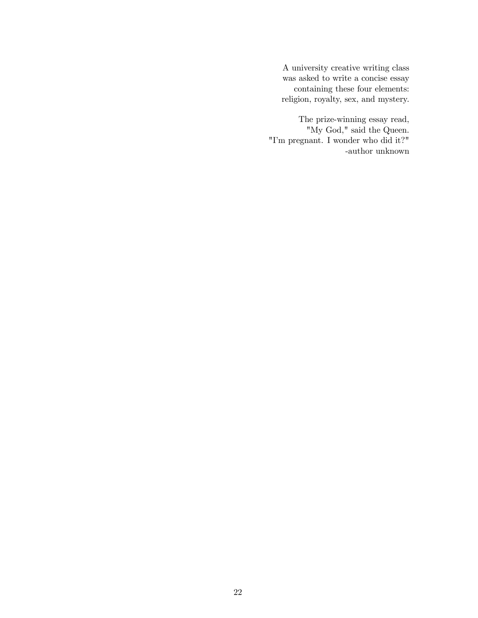A university creative writing class was asked to write a concise essay containing these four elements: religion, royalty, sex, and mystery.

The prize-winning essay read, "My God," said the Queen. "I'm pregnant. I wonder who did it?" -author unknown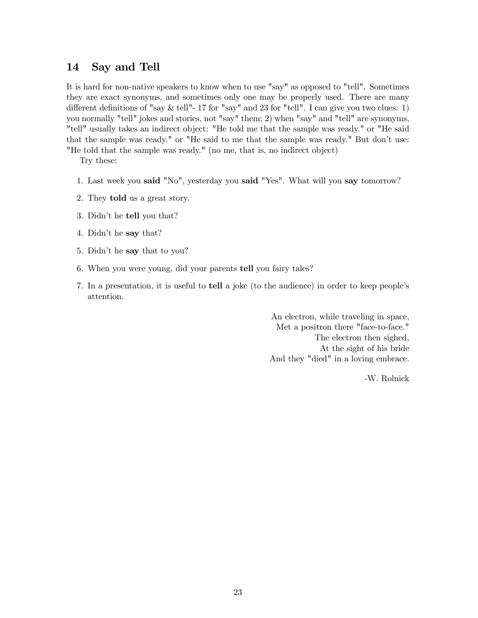### 14 Say and Tell

It is hard for non-native speakers to know when to use "say" as opposed to "tell". Sometimes they are exact synonyms, and sometimes only one may be properly used. There are many different definitions of "say  $\&$  tell"-17 for "say" and 23 for "tell". I can give you two clues: 1) you normally "tell" jokes and stories, not "say" them; 2) when "say" and "tell" are synonyms, "tell" usually takes an indirect object: "He told me that the sample was ready." or "He said that the sample was ready." or "He said to me that the sample was ready." But don't use: "He told that the sample was ready." (no me, that is, no indirect object)

Try these:

- 1. Last week you said "No", yesterday you said "Yes". What will you say tomorrow?
- 2. They told us a great story.
- 3. Didn't he tell you that?
- 4. Didn't he say that?
- 5. Didn't he say that to you?
- 6. When you were young, did your parents tell you fairy tales?
- 7. In a presentation, it is useful to tell a joke (to the audience) in order to keep people's attention.

An electron, while traveling in space, Met a positron there "face-to-face." The electron then sighed, At the sight of his bride And they "died" in a loving embrace.

-W. Rolnick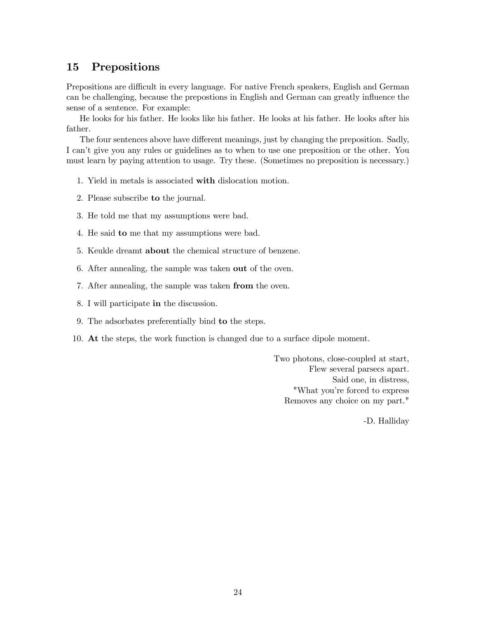### 15 Prepositions

Prepositions are difficult in every language. For native French speakers, English and German can be challenging, because the prepostions in English and German can greatly influence the sense of a sentence. For example:

He looks for his father. He looks like his father. He looks at his father. He looks after his father.

The four sentences above have different meanings, just by changing the preposition. Sadly, I can't give you any rules or guidelines as to when to use one preposition or the other. You must learn by paying attention to usage. Try these. (Sometimes no preposition is necessary.)

- 1. Yield in metals is associated with dislocation motion.
- 2. Please subscribe to the journal.
- 3. He told me that my assumptions were bad.
- 4. He said to me that my assumptions were bad.
- 5. Keukle dreamt about the chemical structure of benzene.
- 6. After annealing, the sample was taken out of the oven.
- 7. After annealing, the sample was taken from the oven.
- 8. I will participate in the discussion.
- 9. The adsorbates preferentially bind to the steps.
- 10. At the steps, the work function is changed due to a surface dipole moment.

Two photons, close-coupled at start, Flew several parsecs apart. Said one, in distress, "What you're forced to express Removes any choice on my part."

-D. Halliday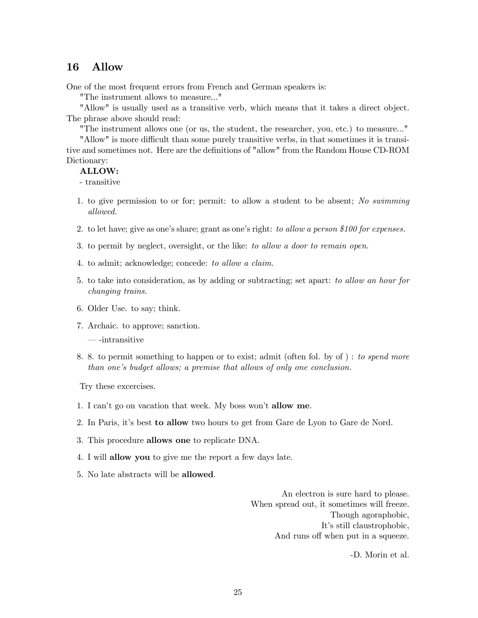#### 16 Allow

One of the most frequent errors from French and German speakers is:

"The instrument allows to measure..."

"Allow" is usually used as a transitive verb, which means that it takes a direct object. The phrase above should read:

"The instrument allows one (or us, the student, the researcher, you, etc.) to measure..."

"Allow" is more difficult than some purely transitive verbs, in that sometimes it is transitive and sometimes not. Here are the definitions of "allow" from the Random House CD-ROM Dictionary:

#### ALLOW:

- transitive

- 1. to give permission to or for; permit: to allow a student to be absent; No swimming allowed.
- 2. to let have; give as one's share; grant as one's right: to allow a person \$100 for expenses.
- 3. to permit by neglect, oversight, or the like: to allow a door to remain open.
- 4. to admit; acknowledge; concede: to allow a claim.
- 5. to take into consideration, as by adding or subtracting; set apart: to allow an hour for changing trains.
- 6. Older Use. to say; think.
- 7. Archaic. to approve; sanction.
	- -intransitive
- 8. 8. to permit something to happen or to exist; admit (often fol. by of ) : to spend more than one's budget allows; a premise that allows of only one conclusion.

Try these excercises.

- 1. I can't go on vacation that week. My boss won't allow me.
- 2. In Paris, it's best to allow two hours to get from Gare de Lyon to Gare de Nord.
- 3. This procedure allows one to replicate DNA.
- 4. I will allow you to give me the report a few days late.
- 5. No late abstracts will be allowed.

An electron is sure hard to please. When spread out, it sometimes will freeze. Though agoraphobic, It's still claustrophobic, And runs off when put in a squeeze.

-D. Morin et al.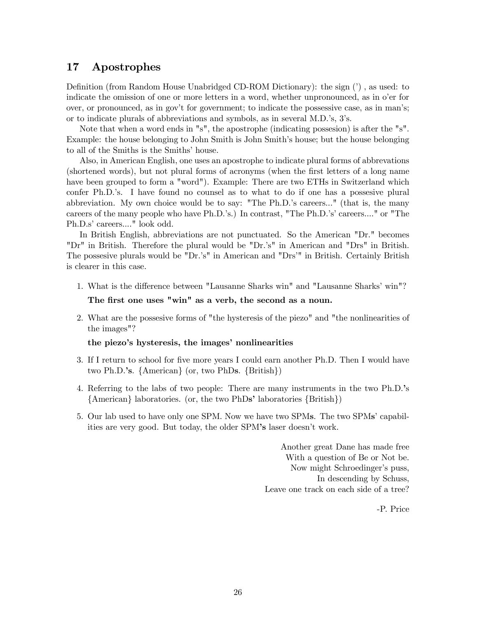### 17 Apostrophes

Definition (from Random House Unabridged CD-ROM Dictionary): the sign (') , as used: to indicate the omission of one or more letters in a word, whether unpronounced, as in o'er for over, or pronounced, as in gov't for government; to indicate the possessive case, as in man's; or to indicate plurals of abbreviations and symbols, as in several M.D.'s, 3's.

Note that when a word ends in "s", the apostrophe (indicating possesion) is after the "s". Example: the house belonging to John Smith is John Smith's house; but the house belonging to all of the Smiths is the Smiths' house.

Also, in American English, one uses an apostrophe to indicate plural forms of abbrevations (shortened words), but not plural forms of acronyms (when the first letters of a long name have been grouped to form a "word"). Example: There are two ETHs in Switzerland which confer Ph.D.'s. I have found no counsel as to what to do if one has a possesive plural abbreviation. My own choice would be to say: "The Ph.D.'s careers..." (that is, the many careers of the many people who have Ph.D.'s.) In contrast, "The Ph.D.'s' careers...." or "The Ph.D.s' careers...." look odd.

In British English, abbreviations are not punctuated. So the American "Dr." becomes "Dr" in British. Therefore the plural would be "Dr.'s" in American and "Drs" in British. The possesive plurals would be "Dr.'s" in American and "Drs'" in British. Certainly British is clearer in this case.

- 1. What is the difference between "Lausanne Sharks win" and "Lausanne Sharks' win"? The first one uses "win" as a verb, the second as a noun.
- 2. What are the possesive forms of "the hysteresis of the piezo" and "the nonlinearities of the images"?

#### the piezo's hysteresis, the images' nonlinearities

- 3. If I return to school for five more years I could earn another Ph.D. Then I would have two Ph.D.'s. {American} (or, two PhDs. {British})
- 4. Referring to the labs of two people: There are many instruments in the two Ph.D.'s {American} laboratories. (or, the two PhDs' laboratories {British})
- 5. Our lab used to have only one SPM. Now we have two SPMs. The two SPMs' capabilities are very good. But today, the older SPM's laser doesn't work.

Another great Dane has made free With a question of Be or Not be. Now might Schroedinger's puss, In descending by Schuss, Leave one track on each side of a tree?

-P. Price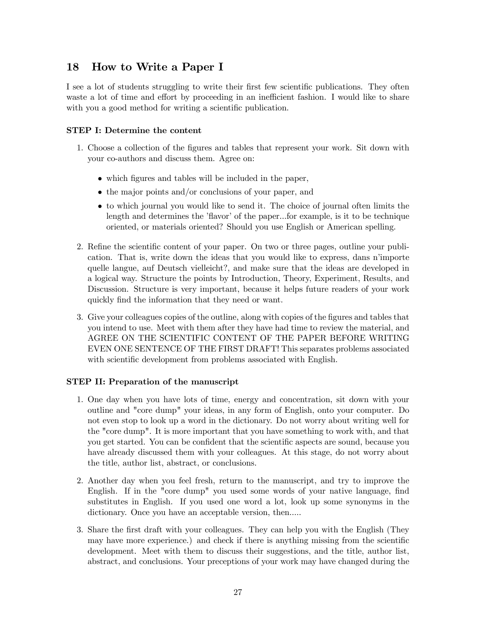## 18 How to Write a Paper I

I see a lot of students struggling to write their first few scientific publications. They often waste a lot of time and effort by proceeding in an inefficient fashion. I would like to share with you a good method for writing a scientific publication.

#### STEP I: Determine the content

- 1. Choose a collection of the figures and tables that represent your work. Sit down with your co-authors and discuss them. Agree on:
	- which figures and tables will be included in the paper,
	- the major points and/or conclusions of your paper, and
	- to which journal you would like to send it. The choice of journal often limits the length and determines the 'flavor' of the paper...for example, is it to be technique oriented, or materials oriented? Should you use English or American spelling.
- 2. Refine the scientific content of your paper. On two or three pages, outline your publication. That is, write down the ideas that you would like to express, dans n'importe quelle langue, auf Deutsch vielleicht?, and make sure that the ideas are developed in a logical way. Structure the points by Introduction, Theory, Experiment, Results, and Discussion. Structure is very important, because it helps future readers of your work quickly find the information that they need or want.
- 3. Give your colleagues copies of the outline, along with copies of the figures and tables that you intend to use. Meet with them after they have had time to review the material, and AGREE ON THE SCIENTIFIC CONTENT OF THE PAPER BEFORE WRITING EVEN ONE SENTENCE OF THE FIRST DRAFT! This separates problems associated with scientific development from problems associated with English.

#### STEP II: Preparation of the manuscript

- 1. One day when you have lots of time, energy and concentration, sit down with your outline and "core dump" your ideas, in any form of English, onto your computer. Do not even stop to look up a word in the dictionary. Do not worry about writing well for the "core dump". It is more important that you have something to work with, and that you get started. You can be confident that the scientific aspects are sound, because you have already discussed them with your colleagues. At this stage, do not worry about the title, author list, abstract, or conclusions.
- 2. Another day when you feel fresh, return to the manuscript, and try to improve the English. If in the "core dump" you used some words of your native language, find substitutes in English. If you used one word a lot, look up some synonyms in the dictionary. Once you have an acceptable version, then.....
- 3. Share the first draft with your colleagues. They can help you with the English (They may have more experience.) and check if there is anything missing from the scientific development. Meet with them to discuss their suggestions, and the title, author list, abstract, and conclusions. Your preceptions of your work may have changed during the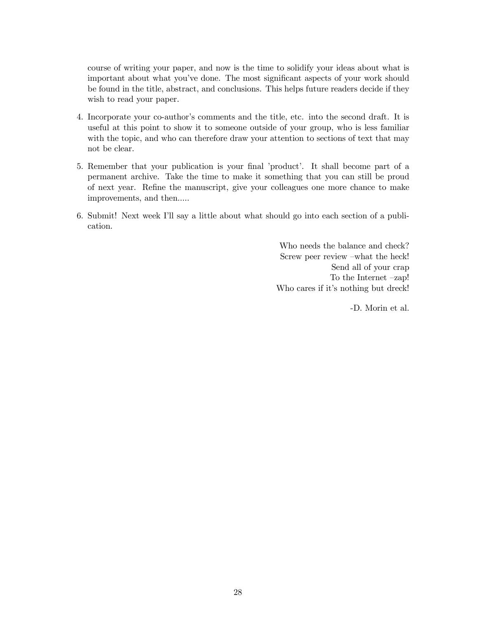course of writing your paper, and now is the time to solidify your ideas about what is important about what you've done. The most significant aspects of your work should be found in the title, abstract, and conclusions. This helps future readers decide if they wish to read your paper.

- 4. Incorporate your co-author's comments and the title, etc. into the second draft. It is useful at this point to show it to someone outside of your group, who is less familiar with the topic, and who can therefore draw your attention to sections of text that may not be clear.
- 5. Remember that your publication is your final 'product'. It shall become part of a permanent archive. Take the time to make it something that you can still be proud of next year. Refine the manuscript, give your colleagues one more chance to make improvements, and then.....
- 6. Submit! Next week I'll say a little about what should go into each section of a publication.

Who needs the balance and check? Screw peer review —what the heck! Send all of your crap To the Internet —zap! Who cares if it's nothing but dreck!

-D. Morin et al.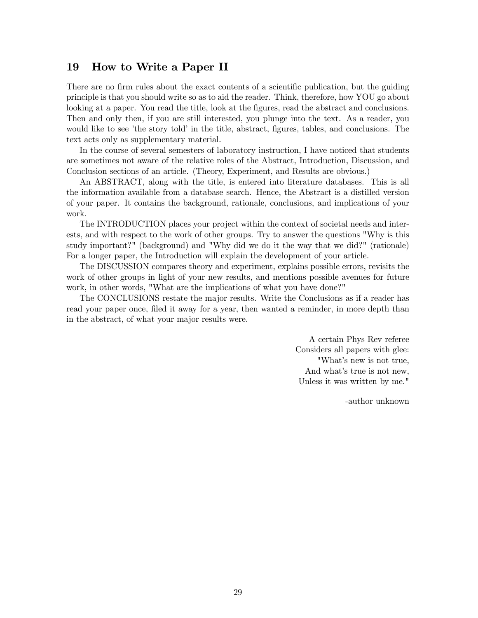#### 19 How to Write a Paper II

There are no firm rules about the exact contents of a scientific publication, but the guiding principle is that you should write so as to aid the reader. Think, therefore, how YOU go about looking at a paper. You read the title, look at the figures, read the abstract and conclusions. Then and only then, if you are still interested, you plunge into the text. As a reader, you would like to see 'the story told' in the title, abstract, figures, tables, and conclusions. The text acts only as supplementary material.

In the course of several semesters of laboratory instruction, I have noticed that students are sometimes not aware of the relative roles of the Abstract, Introduction, Discussion, and Conclusion sections of an article. (Theory, Experiment, and Results are obvious.)

An ABSTRACT, along with the title, is entered into literature databases. This is all the information available from a database search. Hence, the Abstract is a distilled version of your paper. It contains the background, rationale, conclusions, and implications of your work.

The INTRODUCTION places your project within the context of societal needs and interests, and with respect to the work of other groups. Try to answer the questions "Why is this study important?" (background) and "Why did we do it the way that we did?" (rationale) For a longer paper, the Introduction will explain the development of your article.

The DISCUSSION compares theory and experiment, explains possible errors, revisits the work of other groups in light of your new results, and mentions possible avenues for future work, in other words, "What are the implications of what you have done?"

The CONCLUSIONS restate the major results. Write the Conclusions as if a reader has read your paper once, filed it away for a year, then wanted a reminder, in more depth than in the abstract, of what your major results were.

> A certain Phys Rev referee Considers all papers with glee: "What's new is not true, And what's true is not new, Unless it was written by me."

> > -author unknown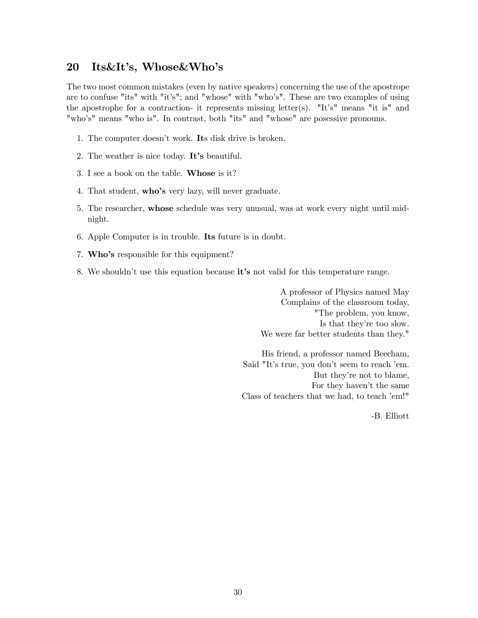#### 20 Its&It's, Whose&Who's

The two most common mistakes (even by native speakers) concerning the use of the apostrope are to confuse "its" with "it's"; and "whose" with "who's". These are two examples of using the apostrophe for a contraction- it represents missing letter(s). "It's" means "it is" and "who's" means "who is". In contrast, both "its" and "whose" are posessive pronouns.

- 1. The computer doesn't work. Its disk drive is broken.
- 2. The weather is nice today. It's beautiful.
- 3. I see a book on the table. Whose is it?
- 4. That student, who's very lazy, will never graduate.
- 5. The researcher, whose schedule was very unusual, was at work every night until midnight.
- 6. Apple Computer is in trouble. Its future is in doubt.
- 7. Who's responsible for this equipment?
- 8. We shouldn't use this equation because it's not valid for this temperature range.

A professor of Physics named May Complains of the classroom today, "The problem, you know, Is that they're too slow. We were far better students than they."

His friend, a professor named Beecham, Said "It's true, you don't seem to reach 'em. But they're not to blame, For they haven't the same Class of teachers that we had, to teach 'em!"

-B. Elliott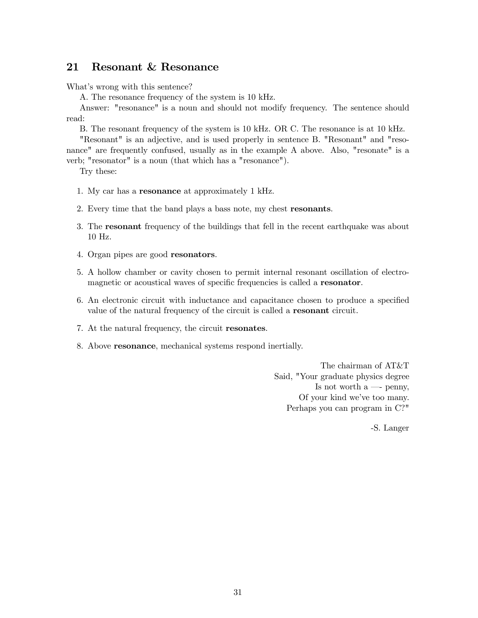#### 21 Resonant & Resonance

What's wrong with this sentence?

A. The resonance frequency of the system is 10 kHz.

Answer: "resonance" is a noun and should not modify frequency. The sentence should read:

B. The resonant frequency of the system is 10 kHz. OR C. The resonance is at 10 kHz.

"Resonant" is an adjective, and is used properly in sentence B. "Resonant" and "resonance" are frequently confused, usually as in the example A above. Also, "resonate" is a verb; "resonator" is a noun (that which has a "resonance").

Try these:

- 1. My car has a resonance at approximately 1 kHz.
- 2. Every time that the band plays a bass note, my chest resonants.
- 3. The resonant frequency of the buildings that fell in the recent earthquake was about 10 Hz.
- 4. Organ pipes are good resonators.
- 5. A hollow chamber or cavity chosen to permit internal resonant oscillation of electromagnetic or acoustical waves of specific frequencies is called a resonator.
- 6. An electronic circuit with inductance and capacitance chosen to produce a specified value of the natural frequency of the circuit is called a resonant circuit.
- 7. At the natural frequency, the circuit resonates.
- 8. Above resonance, mechanical systems respond inertially.

The chairman of AT&T Said, "Your graduate physics degree Is not worth  $a \longrightarrow$  penny, Of your kind we've too many. Perhaps you can program in C?"

-S. Langer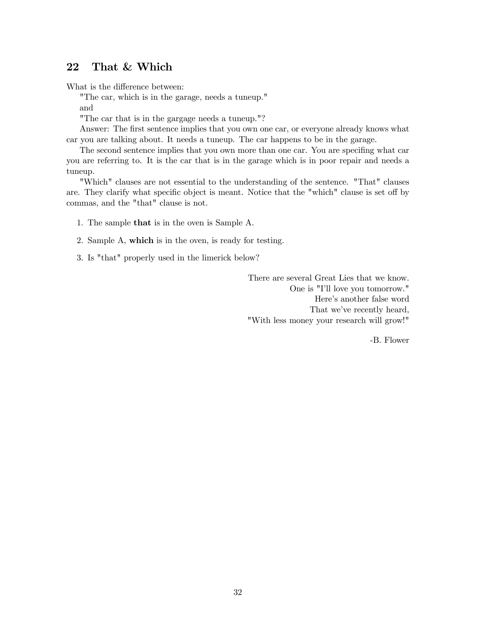### 22 That & Which

What is the difference between:

"The car, which is in the garage, needs a tuneup."

and

"The car that is in the gargage needs a tuneup."?

Answer: The first sentence implies that you own one car, or everyone already knows what car you are talking about. It needs a tuneup. The car happens to be in the garage.

The second sentence implies that you own more than one car. You are specifing what car you are referring to. It is the car that is in the garage which is in poor repair and needs a tuneup.

"Which" clauses are not essential to the understanding of the sentence. "That" clauses are. They clarify what specific object is meant. Notice that the "which" clause is set off by commas, and the "that" clause is not.

- 1. The sample that is in the oven is Sample A.
- 2. Sample A, which is in the oven, is ready for testing.
- 3. Is "that" properly used in the limerick below?

There are several Great Lies that we know. One is "I'll love you tomorrow." Here's another false word That we've recently heard, "With less money your research will grow!"

-B. Flower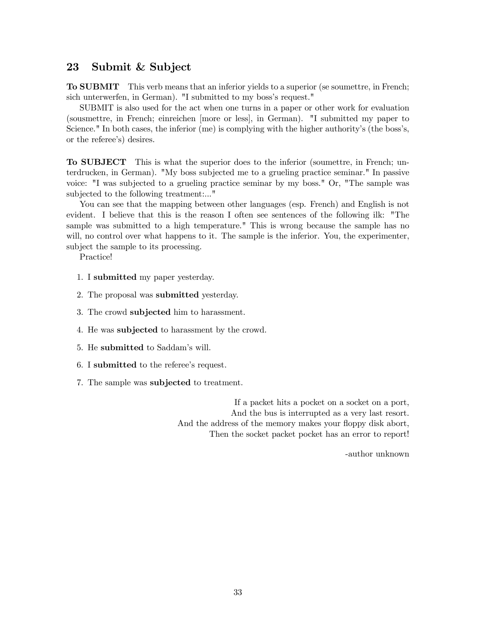#### 23 Submit & Subject

To SUBMIT This verb means that an inferior yields to a superior (se soumettre, in French; sich unterwerfen, in German). "I submitted to my boss's request."

SUBMIT is also used for the act when one turns in a paper or other work for evaluation (sousmettre, in French; einreichen [more or less], in German). "I submitted my paper to Science." In both cases, the inferior (me) is complying with the higher authority's (the boss's, or the referee's) desires.

To SUBJECT This is what the superior does to the inferior (soumettre, in French; unterdrucken, in German). "My boss subjected me to a grueling practice seminar." In passive voice: "I was subjected to a grueling practice seminar by my boss." Or, "The sample was subjected to the following treatment:..."

You can see that the mapping between other languages (esp. French) and English is not evident. I believe that this is the reason I often see sentences of the following ilk: "The sample was submitted to a high temperature." This is wrong because the sample has no will, no control over what happens to it. The sample is the inferior. You, the experimenter, subject the sample to its processing.

Practice!

- 1. I submitted my paper yesterday.
- 2. The proposal was submitted yesterday.
- 3. The crowd subjected him to harassment.
- 4. He was subjected to harassment by the crowd.
- 5. He submitted to Saddam's will.
- 6. I submitted to the referee's request.
- 7. The sample was subjected to treatment.

If a packet hits a pocket on a socket on a port, And the bus is interrupted as a very last resort. And the address of the memory makes your floppy disk abort, Then the socket packet pocket has an error to report!

-author unknown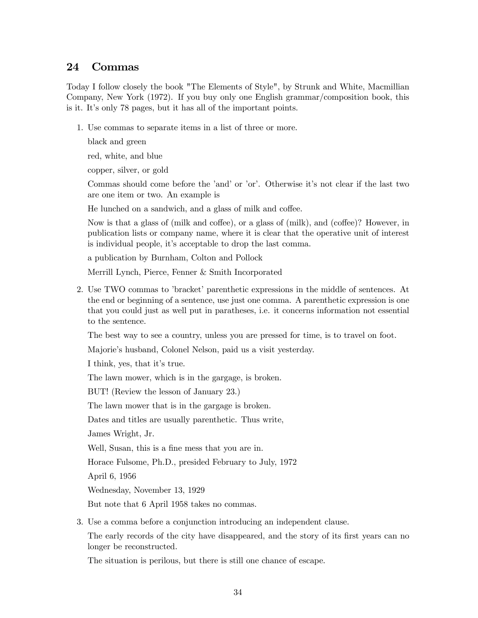### 24 Commas

Today I follow closely the book "The Elements of Style", by Strunk and White, Macmillian Company, New York (1972). If you buy only one English grammar/composition book, this is it. It's only 78 pages, but it has all of the important points.

1. Use commas to separate items in a list of three or more.

black and green

red, white, and blue

copper, silver, or gold

Commas should come before the 'and' or 'or'. Otherwise it's not clear if the last two are one item or two. An example is

He lunched on a sandwich, and a glass of milk and coffee.

Now is that a glass of (milk and coffee), or a glass of (milk), and (coffee)? However, in publication lists or company name, where it is clear that the operative unit of interest is individual people, it's acceptable to drop the last comma.

a publication by Burnham, Colton and Pollock

Merrill Lynch, Pierce, Fenner & Smith Incorporated

2. Use TWO commas to 'bracket' parenthetic expressions in the middle of sentences. At the end or beginning of a sentence, use just one comma. A parenthetic expression is one that you could just as well put in paratheses, i.e. it concerns information not essential to the sentence.

The best way to see a country, unless you are pressed for time, is to travel on foot.

Majorie's husband, Colonel Nelson, paid us a visit yesterday.

I think, yes, that it's true.

The lawn mower, which is in the gargage, is broken.

BUT! (Review the lesson of January 23.)

The lawn mower that is in the gargage is broken.

Dates and titles are usually parenthetic. Thus write,

James Wright, Jr.

Well, Susan, this is a fine mess that you are in.

Horace Fulsome, Ph.D., presided February to July, 1972

April 6, 1956

Wednesday, November 13, 1929

But note that 6 April 1958 takes no commas.

3. Use a comma before a conjunction introducing an independent clause.

The early records of the city have disappeared, and the story of its first years can no longer be reconstructed.

The situation is perilous, but there is still one chance of escape.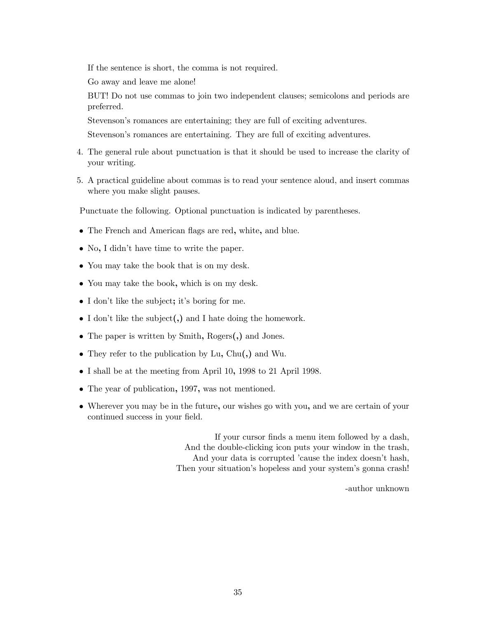If the sentence is short, the comma is not required.

Go away and leave me alone!

BUT! Do not use commas to join two independent clauses; semicolons and periods are preferred.

Stevenson's romances are entertaining; they are full of exciting adventures.

Stevenson's romances are entertaining. They are full of exciting adventures.

- 4. The general rule about punctuation is that it should be used to increase the clarity of your writing.
- 5. A practical guideline about commas is to read your sentence aloud, and insert commas where you make slight pauses.

Punctuate the following. Optional punctuation is indicated by parentheses.

- The French and American flags are red, white, and blue.
- No, I didn't have time to write the paper.
- You may take the book that is on my desk.
- You may take the book, which is on my desk.
- I don't like the subject; it's boring for me.
- I don't like the subject(,) and I hate doing the homework.
- The paper is written by Smith, Rogers(,) and Jones.
- They refer to the publication by Lu, Chu(,) and Wu.
- I shall be at the meeting from April 10, 1998 to 21 April 1998.
- The year of publication, 1997, was not mentioned.
- Wherever you may be in the future, our wishes go with you, and we are certain of your continued success in your field.

If your cursor finds a menu item followed by a dash, And the double-clicking icon puts your window in the trash, And your data is corrupted 'cause the index doesn't hash, Then your situation's hopeless and your system's gonna crash!

-author unknown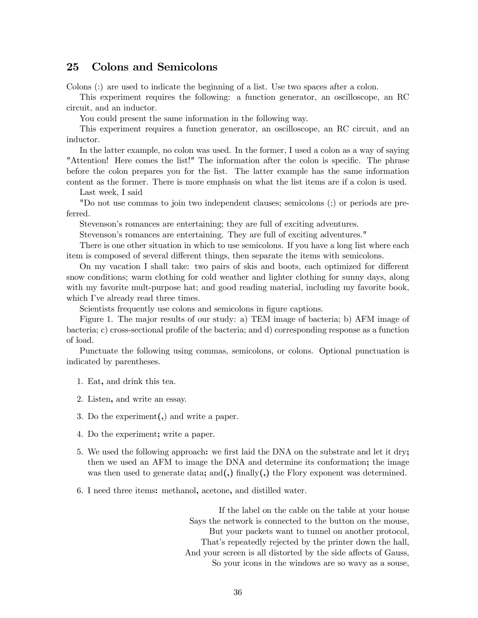#### 25 Colons and Semicolons

Colons (:) are used to indicate the beginning of a list. Use two spaces after a colon.

This experiment requires the following: a function generator, an oscilloscope, an RC circuit, and an inductor.

You could present the same information in the following way.

This experiment requires a function generator, an oscilloscope, an RC circuit, and an inductor.

In the latter example, no colon was used. In the former, I used a colon as a way of saying "Attention! Here comes the list!" The information after the colon is specific. The phrase before the colon prepares you for the list. The latter example has the same information content as the former. There is more emphasis on what the list items are if a colon is used.

Last week, I said

"Do not use commas to join two independent clauses; semicolons (;) or periods are preferred.

Stevenson's romances are entertaining; they are full of exciting adventures.

Stevenson's romances are entertaining. They are full of exciting adventures."

There is one other situation in which to use semicolons. If you have a long list where each item is composed of several different things, then separate the items with semicolons.

On my vacation I shall take: two pairs of skis and boots, each optimized for different snow conditions; warm clothing for cold weather and lighter clothing for sunny days, along with my favorite mult-purpose hat; and good reading material, including my favorite book, which I've already read three times.

Scientists frequently use colons and semicolons in figure captions.

Figure 1. The major results of our study: a) TEM image of bacteria; b) AFM image of bacteria; c) cross-sectional profile of the bacteria; and d) corresponding response as a function of load.

Punctuate the following using commas, semicolons, or colons. Optional punctuation is indicated by parentheses.

- 1. Eat, and drink this tea.
- 2. Listen, and write an essay.
- 3. Do the experiment(,) and write a paper.
- 4. Do the experiment; write a paper.
- 5. We used the following approach: we first laid the DNA on the substrate and let it dry; then we used an AFM to image the DNA and determine its conformation; the image was then used to generate data; and (,) finally (,) the Flory exponent was determined.
- 6. I need three items: methanol, acetone, and distilled water.

If the label on the cable on the table at your house Says the network is connected to the button on the mouse, But your packets want to tunnel on another protocol, That's repeatedly rejected by the printer down the hall, And your screen is all distorted by the side affects of Gauss, So your icons in the windows are so wavy as a souse,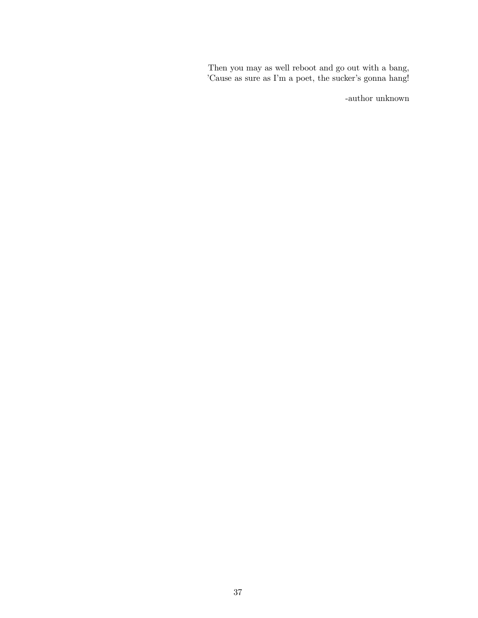Then you may as well reboot and go out with a bang, 'Cause as sure as I'm a poet, the sucker's gonna hang!

-author unknown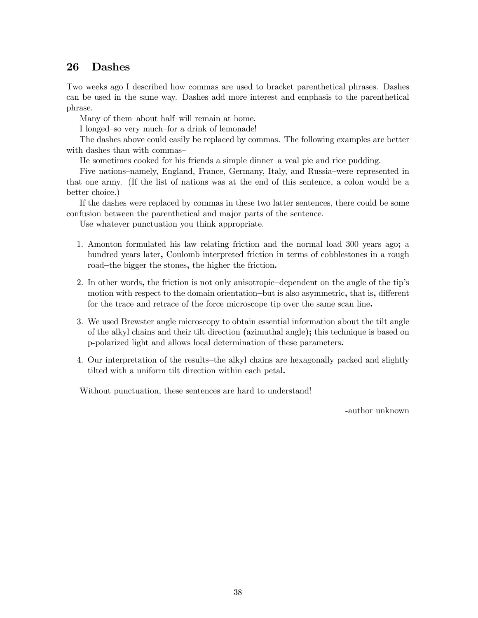# 26 Dashes

Two weeks ago I described how commas are used to bracket parenthetical phrases. Dashes can be used in the same way. Dashes add more interest and emphasis to the parenthetical phrase.

Many of them—about half—will remain at home.

I longed—so very much—for a drink of lemonade!

The dashes above could easily be replaced by commas. The following examples are better with dashes than with commas-

He sometimes cooked for his friends a simple dinner—a veal pie and rice pudding.

Five nations—namely, England, France, Germany, Italy, and Russia—were represented in that one army. (If the list of nations was at the end of this sentence, a colon would be a better choice.)

If the dashes were replaced by commas in these two latter sentences, there could be some confusion between the parenthetical and major parts of the sentence.

Use whatever punctuation you think appropriate.

- 1. Amonton formulated his law relating friction and the normal load 300 years ago; a hundred years later, Coulomb interpreted friction in terms of cobblestones in a rough road—the bigger the stones, the higher the friction.
- 2. In other words, the friction is not only anisotropic—dependent on the angle of the tip's motion with respect to the domain orientation—but is also asymmetric, that is, different for the trace and retrace of the force microscope tip over the same scan line.
- 3. We used Brewster angle microscopy to obtain essential information about the tilt angle of the alkyl chains and their tilt direction (azimuthal angle); this technique is based on p-polarized light and allows local determination of these parameters.
- 4. Our interpretation of the results—the alkyl chains are hexagonally packed and slightly tilted with a uniform tilt direction within each petal.

Without punctuation, these sentences are hard to understand!

-author unknown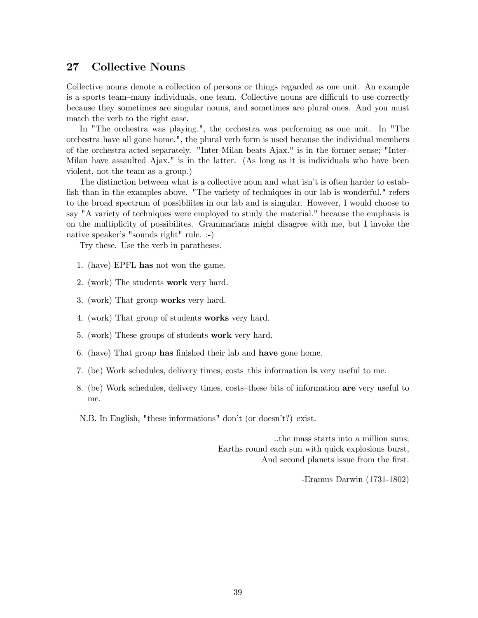### 27 Collective Nouns

Collective nouns denote a collection of persons or things regarded as one unit. An example is a sports team—many individuals, one team. Collective nouns are difficult to use correctly because they sometimes are singular nouns, and sometimes are plural ones. And you must match the verb to the right case.

In "The orchestra was playing.", the orchestra was performing as one unit. In "The orchestra have all gone home.", the plural verb form is used because the individual members of the orchestra acted separately. "Inter-Milan beats Ajax." is in the former sense; "Inter-Milan have assaulted Ajax." is in the latter. (As long as it is individuals who have been violent, not the team as a group.)

The distinction between what is a collective noun and what isn't is often harder to establish than in the examples above. "The variety of techniques in our lab is wonderful." refers to the broad spectrum of possibliites in our lab and is singular. However, I would choose to say "A variety of techniques were employed to study the material." because the emphasis is on the multiplicity of possibilites. Grammarians might disagree with me, but I invoke the native speaker's "sounds right" rule. :-)

Try these. Use the verb in paratheses.

- 1. (have) EPFL has not won the game.
- 2. (work) The students work very hard.
- 3. (work) That group works very hard.
- 4. (work) That group of students works very hard.
- 5. (work) These groups of students work very hard.
- 6. (have) That group has finished their lab and have gone home.
- 7. (be) Work schedules, delivery times, costs—this information is very useful to me.
- 8. (be) Work schedules, delivery times, costs—these bits of information are very useful to me.

N.B. In English, "these informations" don't (or doesn't?) exist.

..the mass starts into a million suns; Earths round each sun with quick explosions burst, And second planets issue from the first.

-Eramus Darwin (1731-1802)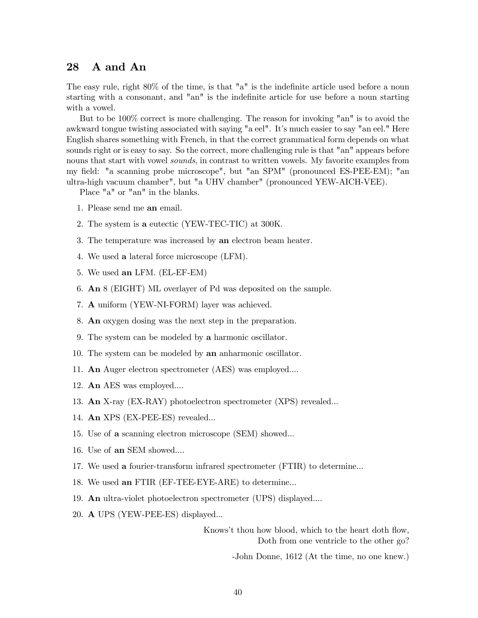### 28 A and An

The easy rule, right 80% of the time, is that "a" is the indefinite article used before a noun starting with a consonant, and "an" is the indefinite article for use before a noun starting with a vowel.

But to be 100% correct is more challenging. The reason for invoking "an" is to avoid the awkward tongue twisting associated with saying "a eel". It's much easier to say "an eel." Here English shares something with French, in that the correct grammatical form depends on what sounds right or is easy to say. So the correct, more challenging rule is that "an" appears before nouns that start with vowel *sounds*, in contrast to written vowels. My favorite examples from my field: "a scanning probe microscope", but "an SPM" (pronounced ES-PEE-EM); "an ultra-high vacuum chamber", but "a UHV chamber" (pronounced YEW-AICH-VEE).

Place "a" or "an" in the blanks.

- 1. Please send me an email.
- 2. The system is a eutectic (YEW-TEC-TIC) at 300K.
- 3. The temperature was increased by an electron beam heater.
- 4. We used a lateral force microscope (LFM).
- 5. We used an LFM. (EL-EF-EM)
- 6. An 8 (EIGHT) ML overlayer of Pd was deposited on the sample.
- 7. A uniform (YEW-NI-FORM) layer was achieved.
- 8. An oxygen dosing was the next step in the preparation.
- 9. The system can be modeled by a harmonic oscillator.
- 10. The system can be modeled by an anharmonic oscillator.
- 11. An Auger electron spectrometer (AES) was employed....
- 12. An AES was employed....
- 13. An X-ray (EX-RAY) photoelectron spectrometer (XPS) revealed...
- 14. An XPS (EX-PEE-ES) revealed...
- 15. Use of a scanning electron microscope (SEM) showed...
- 16. Use of an SEM showed....
- 17. We used a fourier-transform infrared spectrometer (FTIR) to determine...
- 18. We used an FTIR (EF-TEE-EYE-ARE) to determine...
- 19. An ultra-violet photoelectron spectrometer (UPS) displayed....
- 20. A UPS (YEW-PEE-ES) displayed...

Knows't thou how blood, which to the heart doth flow, Doth from one ventricle to the other go?

-John Donne, 1612 (At the time, no one knew.)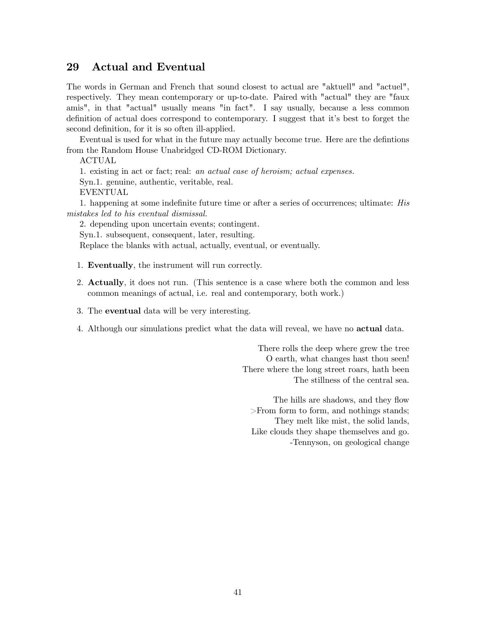# 29 Actual and Eventual

The words in German and French that sound closest to actual are "aktuell" and "actuel", respectively. They mean contemporary or up-to-date. Paired with "actual" they are "faux amis", in that "actual" usually means "in fact". I say usually, because a less common definition of actual does correspond to contemporary. I suggest that it's best to forget the second definition, for it is so often ill-applied.

Eventual is used for what in the future may actually become true. Here are the defintions from the Random House Unabridged CD-ROM Dictionary.

ACTUAL

1. existing in act or fact; real: an actual case of heroism; actual expenses.

Syn.1. genuine, authentic, veritable, real.

EVENTUAL

1. happening at some indefinite future time or after a series of occurrences; ultimate: His mistakes led to his eventual dismissal.

2. depending upon uncertain events; contingent.

Syn.1. subsequent, consequent, later, resulting.

Replace the blanks with actual, actually, eventual, or eventually.

- 1. Eventually, the instrument will run correctly.
- 2. Actually, it does not run. (This sentence is a case where both the common and less common meanings of actual, i.e. real and contemporary, both work.)
- 3. The eventual data will be very interesting.
- 4. Although our simulations predict what the data will reveal, we have no actual data.

There rolls the deep where grew the tree O earth, what changes hast thou seen! There where the long street roars, hath been The stillness of the central sea.

The hills are shadows, and they flow >From form to form, and nothings stands; They melt like mist, the solid lands, Like clouds they shape themselves and go. -Tennyson, on geological change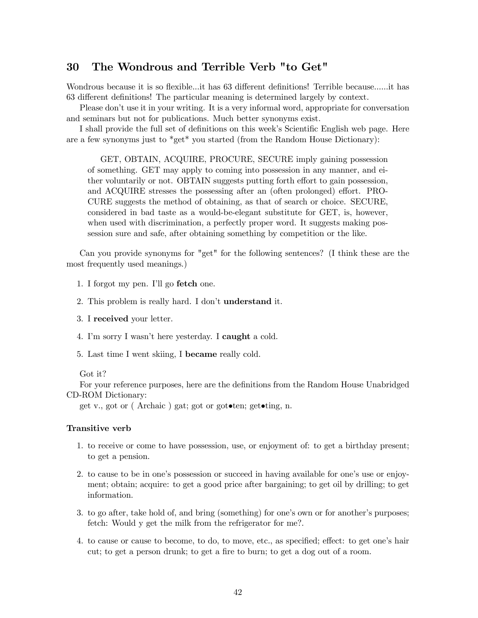# 30 The Wondrous and Terrible Verb "to Get"

Wondrous because it is so flexible...it has 63 different definitions! Terrible because......it has 63 different definitions! The particular meaning is determined largely by context.

Please don't use it in your writing. It is a very informal word, appropriate for conversation and seminars but not for publications. Much better synonyms exist.

I shall provide the full set of definitions on this week's Scientific English web page. Here are a few synonyms just to \*get\* you started (from the Random House Dictionary):

GET, OBTAIN, ACQUIRE, PROCURE, SECURE imply gaining possession of something. GET may apply to coming into possession in any manner, and either voluntarily or not. OBTAIN suggests putting forth effort to gain possession, and ACQUIRE stresses the possessing after an (often prolonged) effort. PRO-CURE suggests the method of obtaining, as that of search or choice. SECURE, considered in bad taste as a would-be-elegant substitute for GET, is, however, when used with discrimination, a perfectly proper word. It suggests making possession sure and safe, after obtaining something by competition or the like.

Can you provide synonyms for "get" for the following sentences? (I think these are the most frequently used meanings.)

- 1. I forgot my pen. I'll go fetch one.
- 2. This problem is really hard. I don't understand it.
- 3. I received your letter.
- 4. I'm sorry I wasn't here yesterday. I caught a cold.
- 5. Last time I went skiing, I became really cold.

#### Got it?

For your reference purposes, here are the definitions from the Random House Unabridged CD-ROM Dictionary:

get v., got or ( Archaic ) gat; got or got•ten; get•ting, n.

#### Transitive verb

- 1. to receive or come to have possession, use, or enjoyment of: to get a birthday present; to get a pension.
- 2. to cause to be in one's possession or succeed in having available for one's use or enjoyment; obtain; acquire: to get a good price after bargaining; to get oil by drilling; to get information.
- 3. to go after, take hold of, and bring (something) for one's own or for another's purposes; fetch: Would y get the milk from the refrigerator for me?.
- 4. to cause or cause to become, to do, to move, etc., as specified; effect: to get one's hair cut; to get a person drunk; to get a fire to burn; to get a dog out of a room.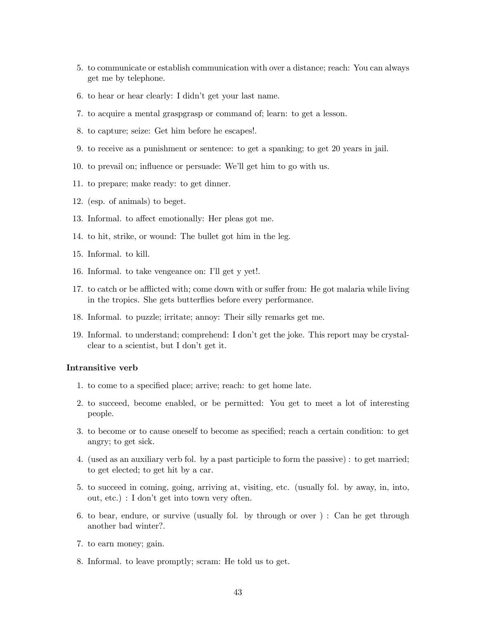- 5. to communicate or establish communication with over a distance; reach: You can always get me by telephone.
- 6. to hear or hear clearly: I didn't get your last name.
- 7. to acquire a mental graspgrasp or command of; learn: to get a lesson.
- 8. to capture; seize: Get him before he escapes!.
- 9. to receive as a punishment or sentence: to get a spanking; to get 20 years in jail.
- 10. to prevail on; influence or persuade: We'll get him to go with us.
- 11. to prepare; make ready: to get dinner.
- 12. (esp. of animals) to beget.
- 13. Informal. to affect emotionally: Her pleas got me.
- 14. to hit, strike, or wound: The bullet got him in the leg.
- 15. Informal. to kill.
- 16. Informal. to take vengeance on: I'll get y yet!.
- 17. to catch or be afflicted with; come down with or suffer from: He got malaria while living in the tropics. She gets butterflies before every performance.
- 18. Informal. to puzzle; irritate; annoy: Their silly remarks get me.
- 19. Informal. to understand; comprehend: I don't get the joke. This report may be crystalclear to a scientist, but I don't get it.

#### Intransitive verb

- 1. to come to a specified place; arrive; reach: to get home late.
- 2. to succeed, become enabled, or be permitted: You get to meet a lot of interesting people.
- 3. to become or to cause oneself to become as specified; reach a certain condition: to get angry; to get sick.
- 4. (used as an auxiliary verb fol. by a past participle to form the passive) : to get married; to get elected; to get hit by a car.
- 5. to succeed in coming, going, arriving at, visiting, etc. (usually fol. by away, in, into, out, etc.) : I don't get into town very often.
- 6. to bear, endure, or survive (usually fol. by through or over ) : Can he get through another bad winter?.
- 7. to earn money; gain.
- 8. Informal. to leave promptly; scram: He told us to get.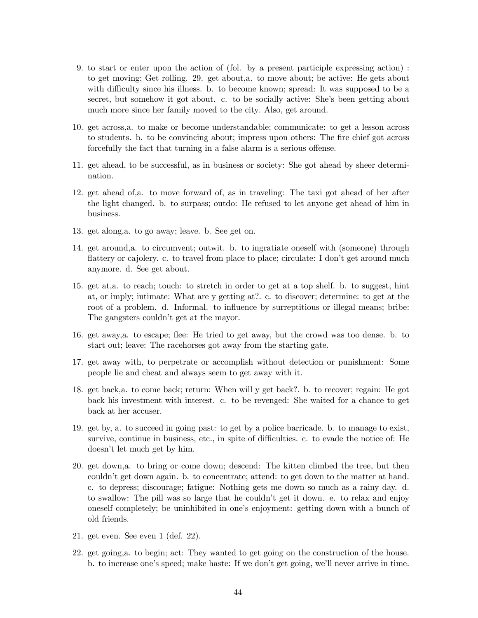- 9. to start or enter upon the action of (fol. by a present participle expressing action) : to get moving; Get rolling. 29. get about,a. to move about; be active: He gets about with difficulty since his illness. b. to become known; spread: It was supposed to be a secret, but somehow it got about. c. to be socially active: She's been getting about much more since her family moved to the city. Also, get around.
- 10. get across,a. to make or become understandable; communicate: to get a lesson across to students. b. to be convincing about; impress upon others: The fire chief got across forcefully the fact that turning in a false alarm is a serious offense.
- 11. get ahead, to be successful, as in business or society: She got ahead by sheer determination.
- 12. get ahead of,a. to move forward of, as in traveling: The taxi got ahead of her after the light changed. b. to surpass; outdo: He refused to let anyone get ahead of him in business.
- 13. get along,a. to go away; leave. b. See get on.
- 14. get around,a. to circumvent; outwit. b. to ingratiate oneself with (someone) through flattery or cajolery. c. to travel from place to place; circulate: I don't get around much anymore. d. See get about.
- 15. get at,a. to reach; touch: to stretch in order to get at a top shelf. b. to suggest, hint at, or imply; intimate: What are y getting at?. c. to discover; determine: to get at the root of a problem. d. Informal. to influence by surreptitious or illegal means; bribe: The gangsters couldn't get at the mayor.
- 16. get away,a. to escape; flee: He tried to get away, but the crowd was too dense. b. to start out; leave: The racehorses got away from the starting gate.
- 17. get away with, to perpetrate or accomplish without detection or punishment: Some people lie and cheat and always seem to get away with it.
- 18. get back,a. to come back; return: When will y get back?. b. to recover; regain: He got back his investment with interest. c. to be revenged: She waited for a chance to get back at her accuser.
- 19. get by, a. to succeed in going past: to get by a police barricade. b. to manage to exist, survive, continue in business, etc., in spite of difficulties. c. to evade the notice of: He doesn't let much get by him.
- 20. get down,a. to bring or come down; descend: The kitten climbed the tree, but then couldn't get down again. b. to concentrate; attend: to get down to the matter at hand. c. to depress; discourage; fatigue: Nothing gets me down so much as a rainy day. d. to swallow: The pill was so large that he couldn't get it down. e. to relax and enjoy oneself completely; be uninhibited in one's enjoyment: getting down with a bunch of old friends.
- 21. get even. See even 1 (def. 22).
- 22. get going,a. to begin; act: They wanted to get going on the construction of the house. b. to increase one's speed; make haste: If we don't get going, we'll never arrive in time.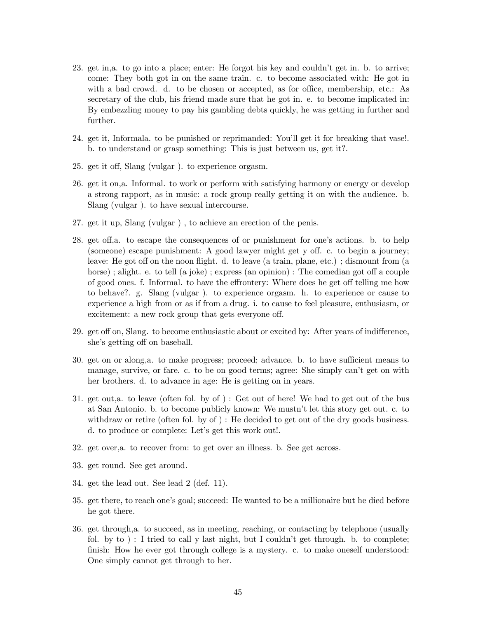- 23. get in,a. to go into a place; enter: He forgot his key and couldn't get in. b. to arrive; come: They both got in on the same train. c. to become associated with: He got in with a bad crowd. d. to be chosen or accepted, as for office, membership, etc.: As secretary of the club, his friend made sure that he got in. e. to become implicated in: By embezzling money to pay his gambling debts quickly, he was getting in further and further.
- 24. get it, Informala. to be punished or reprimanded: You'll get it for breaking that vase!. b. to understand or grasp something: This is just between us, get it?.
- 25. get it off, Slang (vulgar ). to experience orgasm.
- 26. get it on,a. Informal. to work or perform with satisfying harmony or energy or develop a strong rapport, as in music: a rock group really getting it on with the audience. b. Slang (vulgar ). to have sexual intercourse.
- 27. get it up, Slang (vulgar ) , to achieve an erection of the penis.
- 28. get off,a. to escape the consequences of or punishment for one's actions. b. to help (someone) escape punishment: A good lawyer might get y off. c. to begin a journey; leave: He got off on the noon flight. d. to leave (a train, plane, etc.) ; dismount from (a horse); alight. e. to tell (a joke); express (an opinion): The comedian got off a couple of good ones. f. Informal. to have the effrontery: Where does he get off telling me how to behave?. g. Slang (vulgar ). to experience orgasm. h. to experience or cause to experience a high from or as if from a drug. i. to cause to feel pleasure, enthusiasm, or excitement: a new rock group that gets everyone off.
- 29. get off on, Slang. to become enthusiastic about or excited by: After years of indifference, she's getting off on baseball.
- 30. get on or along,a. to make progress; proceed; advance. b. to have sufficient means to manage, survive, or fare. c. to be on good terms; agree: She simply can't get on with her brothers. d. to advance in age: He is getting on in years.
- 31. get out,a. to leave (often fol. by of ) : Get out of here! We had to get out of the bus at San Antonio. b. to become publicly known: We mustn't let this story get out. c. to withdraw or retire (often fol. by of ) : He decided to get out of the dry goods business. d. to produce or complete: Let's get this work out!.
- 32. get over,a. to recover from: to get over an illness. b. See get across.
- 33. get round. See get around.
- 34. get the lead out. See lead 2 (def. 11).
- 35. get there, to reach one's goal; succeed: He wanted to be a millionaire but he died before he got there.
- 36. get through,a. to succeed, as in meeting, reaching, or contacting by telephone (usually fol. by to  $)$ : I tried to call y last night, but I couldn't get through. b. to complete; finish: How he ever got through college is a mystery. c. to make oneself understood: One simply cannot get through to her.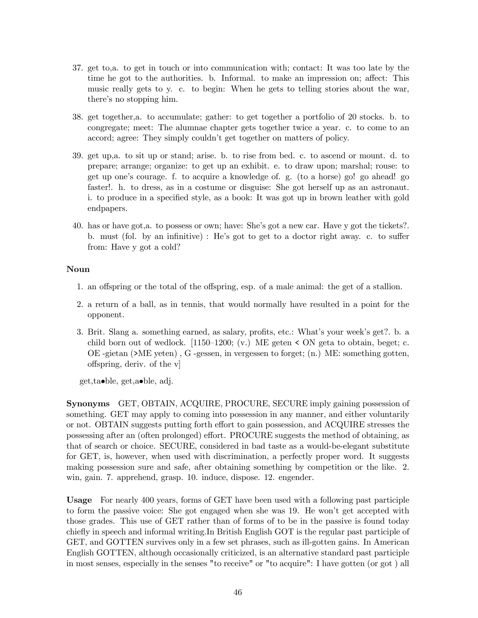- 37. get to,a. to get in touch or into communication with; contact: It was too late by the time he got to the authorities. b. Informal. to make an impression on; affect: This music really gets to y. c. to begin: When he gets to telling stories about the war, there's no stopping him.
- 38. get together,a. to accumulate; gather: to get together a portfolio of 20 stocks. b. to congregate; meet: The alumnae chapter gets together twice a year. c. to come to an accord; agree: They simply couldn't get together on matters of policy.
- 39. get up,a. to sit up or stand; arise. b. to rise from bed. c. to ascend or mount. d. to prepare; arrange; organize: to get up an exhibit. e. to draw upon; marshal; rouse: to get up one's courage. f. to acquire a knowledge of. g. (to a horse) go! go ahead! go faster!. h. to dress, as in a costume or disguise: She got herself up as an astronaut. i. to produce in a specified style, as a book: It was got up in brown leather with gold endpapers.
- 40. has or have got,a. to possess or own; have: She's got a new car. Have y got the tickets?. b. must (fol. by an infinitive) : He's got to get to a doctor right away. c. to suffer from: Have y got a cold?

### Noun

- 1. an offspring or the total of the offspring, esp. of a male animal: the get of a stallion.
- 2. a return of a ball, as in tennis, that would normally have resulted in a point for the opponent.
- 3. Brit. Slang a. something earned, as salary, profits, etc.: What's your week's get?. b. a child born out of wedlock.  $[1150-1200; (v.)$  ME geten < ON geta to obtain, beget; c. OE -gietan (>ME yeten) , G -gessen, in vergessen to forget; (n.) ME: something gotten, offspring, deriv. of the v]

get,ta•ble, get,a•ble, adj.

Synonyms GET, OBTAIN, ACQUIRE, PROCURE, SECURE imply gaining possession of something. GET may apply to coming into possession in any manner, and either voluntarily or not. OBTAIN suggests putting forth effort to gain possession, and ACQUIRE stresses the possessing after an (often prolonged) effort. PROCURE suggests the method of obtaining, as that of search or choice. SECURE, considered in bad taste as a would-be-elegant substitute for GET, is, however, when used with discrimination, a perfectly proper word. It suggests making possession sure and safe, after obtaining something by competition or the like. 2. win, gain. 7. apprehend, grasp. 10. induce, dispose. 12. engender.

Usage For nearly 400 years, forms of GET have been used with a following past participle to form the passive voice: She got engaged when she was 19. He won't get accepted with those grades. This use of GET rather than of forms of to be in the passive is found today chiefly in speech and informal writing.In British English GOT is the regular past participle of GET, and GOTTEN survives only in a few set phrases, such as ill-gotten gains. In American English GOTTEN, although occasionally criticized, is an alternative standard past participle in most senses, especially in the senses "to receive" or "to acquire": I have gotten (or got ) all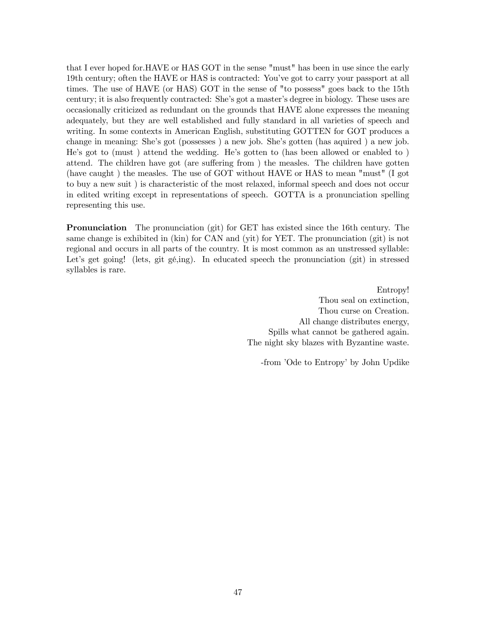that I ever hoped for.HAVE or HAS GOT in the sense "must" has been in use since the early 19th century; often the HAVE or HAS is contracted: You've got to carry your passport at all times. The use of HAVE (or HAS) GOT in the sense of "to possess" goes back to the 15th century; it is also frequently contracted: She's got a master's degree in biology. These uses are occasionally criticized as redundant on the grounds that HAVE alone expresses the meaning adequately, but they are well established and fully standard in all varieties of speech and writing. In some contexts in American English, substituting GOTTEN for GOT produces a change in meaning: She's got (possesses ) a new job. She's gotten (has aquired ) a new job. He's got to (must ) attend the wedding. He's gotten to (has been allowed or enabled to ) attend. The children have got (are suffering from ) the measles. The children have gotten (have caught ) the measles. The use of GOT without HAVE or HAS to mean "must" (I got to buy a new suit ) is characteristic of the most relaxed, informal speech and does not occur in edited writing except in representations of speech. GOTTA is a pronunciation spelling representing this use.

Pronunciation The pronunciation (git) for GET has existed since the 16th century. The same change is exhibited in (kin) for CAN and (yit) for YET. The pronunciation (git) is not regional and occurs in all parts of the country. It is most common as an unstressed syllable: Let's get going! (lets, git gé,ing). In educated speech the pronunciation (git) in stressed syllables is rare.

> Entropy! Thou seal on extinction, Thou curse on Creation. All change distributes energy, Spills what cannot be gathered again. The night sky blazes with Byzantine waste.

-from 'Ode to Entropy' by John Updike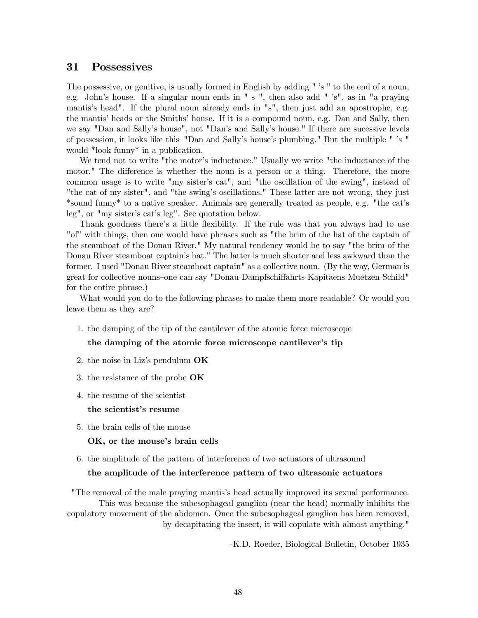### 31 Possessives

The possessive, or genitive, is usually formed in English by adding " 's " to the end of a noun, e.g. John's house. If a singular noun ends in " s ", then also add " 's", as in "a praying mantis's head". If the plural noun already ends in "s", then just add an apostrophe, e.g. the mantis' heads or the Smiths' house. If it is a compound noun, e.g. Dan and Sally, then we say "Dan and Sally's house", not "Dan's and Sally's house." If there are sucessive levels of possession, it looks like this—"Dan and Sally's house's plumbing." But the multiple " 's " would \*look funny\* in a publication.

We tend not to write "the motor's inductance." Usually we write "the inductance of the motor." The difference is whether the noun is a person or a thing. Therefore, the more common usage is to write "my sister's cat", and "the oscillation of the swing", instead of "the cat of my sister", and "the swing's oscillations." These latter are not wrong, they just \*sound funny\* to a native speaker. Animals are generally treated as people, e.g. "the cat's leg", or "my sister's cat's leg". See quotation below.

Thank goodness there's a little flexibility. If the rule was that you always had to use "of" with things, then one would have phrases such as "the brim of the hat of the captain of the steamboat of the Donau River." My natural tendency would be to say "the brim of the Donau River steamboat captain's hat." The latter is much shorter and less awkward than the former. I used "Donau River steamboat captain" as a collective noun. (By the way, German is great for collective nouns—one can say "Donau-Dampfschiffahrts-Kapitaens-Muetzen-Schild" for the entire phrase.)

What would you do to the following phrases to make them more readable? Or would you leave them as they are?

1. the damping of the tip of the cantilever of the atomic force microscope

### the damping of the atomic force microscope cantilever's tip

- 2. the noise in Liz's pendulum OK
- 3. the resistance of the probe OK
- 4. the resume of the scientist

#### the scientist's resume

5. the brain cells of the mouse

#### OK, or the mouse's brain cells

6. the amplitude of the pattern of interference of two actuators of ultrasound

#### the amplitude of the interference pattern of two ultrasonic actuators

"The removal of the male praying mantis's head actually improved its sexual performance. This was because the subesophageal ganglion (near the head) normally inhibits the copulatory movement of the abdomen. Once the subesophageal ganglion has been removed, by decapitating the insect, it will copulate with almost anything."

-K.D. Roeder, Biological Bulletin, October 1935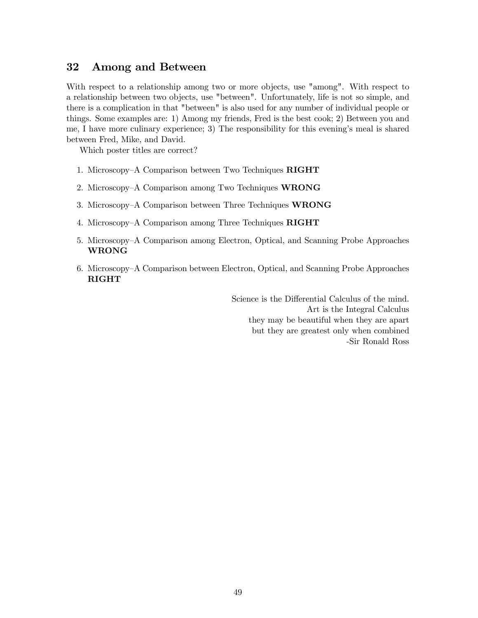# 32 Among and Between

With respect to a relationship among two or more objects, use "among". With respect to a relationship between two objects, use "between". Unfortunately, life is not so simple, and there is a complication in that "between" is also used for any number of individual people or things. Some examples are: 1) Among my friends, Fred is the best cook; 2) Between you and me, I have more culinary experience; 3) The responsibility for this evening's meal is shared between Fred, Mike, and David.

Which poster titles are correct?

- 1. Microscopy—A Comparison between Two Techniques RIGHT
- 2. Microscopy—A Comparison among Two Techniques WRONG
- 3. Microscopy—A Comparison between Three Techniques WRONG
- 4. Microscopy—A Comparison among Three Techniques RIGHT
- 5. Microscopy—A Comparison among Electron, Optical, and Scanning Probe Approaches WRONG
- 6. Microscopy—A Comparison between Electron, Optical, and Scanning Probe Approaches RIGHT

Science is the Differential Calculus of the mind. Art is the Integral Calculus they may be beautiful when they are apart but they are greatest only when combined -Sir Ronald Ross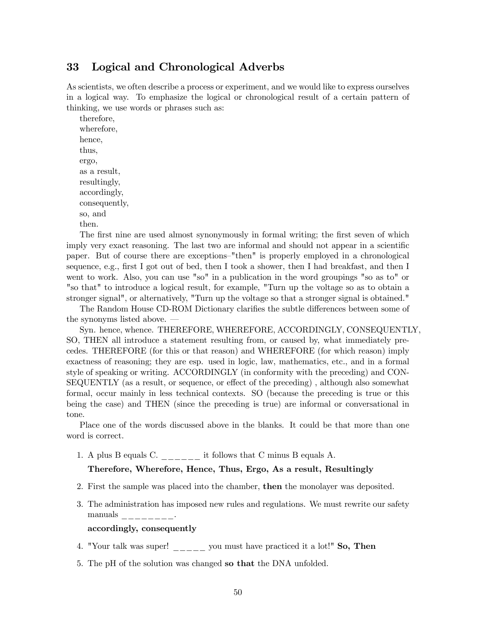# 33 Logical and Chronological Adverbs

As scientists, we often describe a process or experiment, and we would like to express ourselves in a logical way. To emphasize the logical or chronological result of a certain pattern of thinking, we use words or phrases such as:

therefore, wherefore, hence, thus, ergo, as a result, resultingly, accordingly, consequently, so, and then.

The first nine are used almost synonymously in formal writing; the first seven of which imply very exact reasoning. The last two are informal and should not appear in a scientific paper. But of course there are exceptions—"then" is properly employed in a chronological sequence, e.g., first I got out of bed, then I took a shower, then I had breakfast, and then I went to work. Also, you can use "so" in a publication in the word groupings "so as to" or "so that" to introduce a logical result, for example, "Turn up the voltage so as to obtain a stronger signal", or alternatively, "Turn up the voltage so that a stronger signal is obtained."

The Random House CD-ROM Dictionary clarifies the subtle differences between some of the synonyms listed above. –

Syn. hence, whence. THEREFORE, WHEREFORE, ACCORDINGLY, CONSEQUENTLY, SO, THEN all introduce a statement resulting from, or caused by, what immediately precedes. THEREFORE (for this or that reason) and WHEREFORE (for which reason) imply exactness of reasoning; they are esp. used in logic, law, mathematics, etc., and in a formal style of speaking or writing. ACCORDINGLY (in conformity with the preceding) and CON-SEQUENTLY (as a result, or sequence, or effect of the preceding) , although also somewhat formal, occur mainly in less technical contexts. SO (because the preceding is true or this being the case) and THEN (since the preceding is true) are informal or conversational in tone.

Place one of the words discussed above in the blanks. It could be that more than one word is correct.

1. A plus B equals C. \_\_\_\_\_\_ it follows that C minus B equals A.

### Therefore, Wherefore, Hence, Thus, Ergo, As a result, Resultingly

- 2. First the sample was placed into the chamber, then the monolayer was deposited.
- 3. The administration has imposed new rules and regulations. We must rewrite our safety manuals  $\frac{\ }{\ }$   $\frac{\ }{\ }$   $\frac{\ }{\ }$   $\frac{\ }{\ }$

### accordingly, consequently

- 4. "Your talk was super!  $\frac{1}{1}$  you must have practiced it a lot!" So, Then
- 5. The pH of the solution was changed so that the DNA unfolded.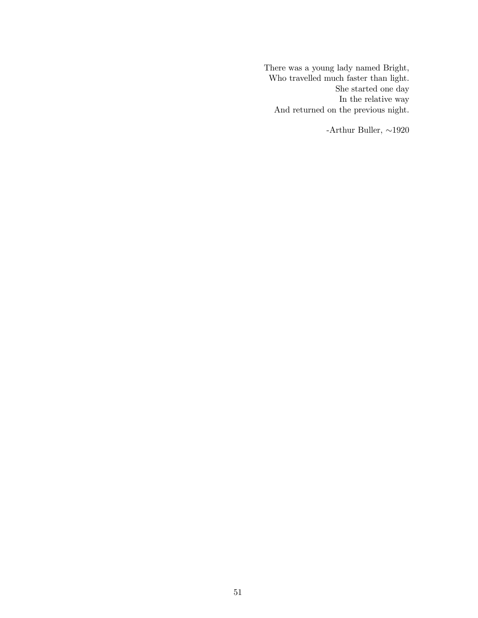There was a young lady named Bright, Who travelled much faster than light. She started one day In the relative way And returned on the previous night.

-Arthur Buller, ∼1920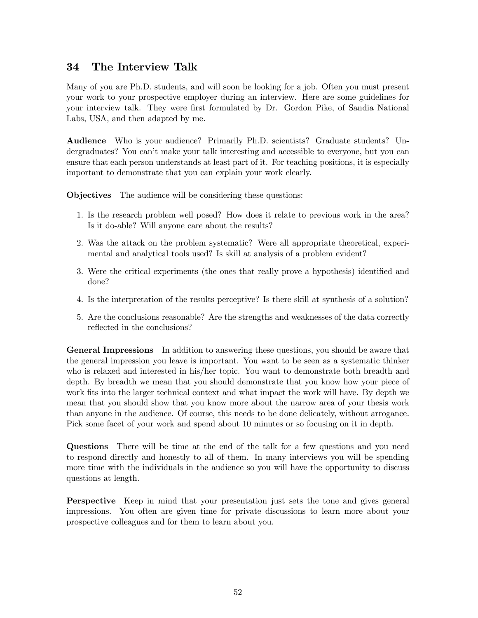# 34 The Interview Talk

Many of you are Ph.D. students, and will soon be looking for a job. Often you must present your work to your prospective employer during an interview. Here are some guidelines for your interview talk. They were first formulated by Dr. Gordon Pike, of Sandia National Labs, USA, and then adapted by me.

Audience Who is your audience? Primarily Ph.D. scientists? Graduate students? Undergraduates? You can't make your talk interesting and accessible to everyone, but you can ensure that each person understands at least part of it. For teaching positions, it is especially important to demonstrate that you can explain your work clearly.

Objectives The audience will be considering these questions:

- 1. Is the research problem well posed? How does it relate to previous work in the area? Is it do-able? Will anyone care about the results?
- 2. Was the attack on the problem systematic? Were all appropriate theoretical, experimental and analytical tools used? Is skill at analysis of a problem evident?
- 3. Were the critical experiments (the ones that really prove a hypothesis) identified and done?
- 4. Is the interpretation of the results perceptive? Is there skill at synthesis of a solution?
- 5. Are the conclusions reasonable? Are the strengths and weaknesses of the data correctly reflected in the conclusions?

General Impressions In addition to answering these questions, you should be aware that the general impression you leave is important. You want to be seen as a systematic thinker who is relaxed and interested in his/her topic. You want to demonstrate both breadth and depth. By breadth we mean that you should demonstrate that you know how your piece of work fits into the larger technical context and what impact the work will have. By depth we mean that you should show that you know more about the narrow area of your thesis work than anyone in the audience. Of course, this needs to be done delicately, without arrogance. Pick some facet of your work and spend about 10 minutes or so focusing on it in depth.

Questions There will be time at the end of the talk for a few questions and you need to respond directly and honestly to all of them. In many interviews you will be spending more time with the individuals in the audience so you will have the opportunity to discuss questions at length.

Perspective Keep in mind that your presentation just sets the tone and gives general impressions. You often are given time for private discussions to learn more about your prospective colleagues and for them to learn about you.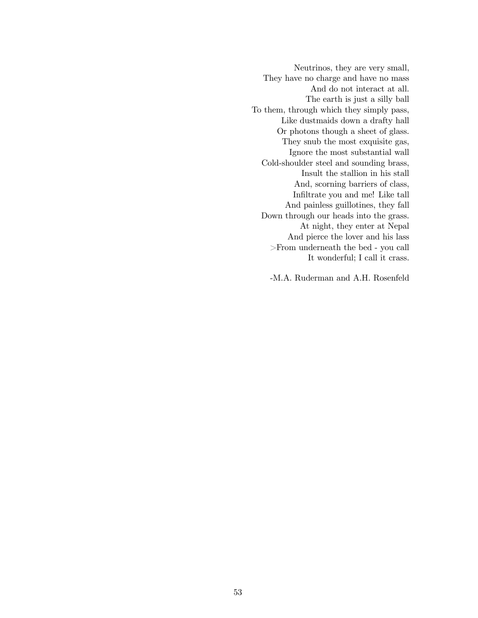Neutrinos, they are very small, They have no charge and have no mass And do not interact at all. The earth is just a silly ball To them, through which they simply pass, Like dustmaids down a drafty hall Or photons though a sheet of glass. They snub the most exquisite gas, Ignore the most substantial wall Cold-shoulder steel and sounding brass, Insult the stallion in his stall And, scorning barriers of class, Infiltrate you and me! Like tall And painless guillotines, they fall Down through our heads into the grass. At night, they enter at Nepal And pierce the lover and his lass >From underneath the bed - you call It wonderful; I call it crass.

-M.A. Ruderman and A.H. Rosenfeld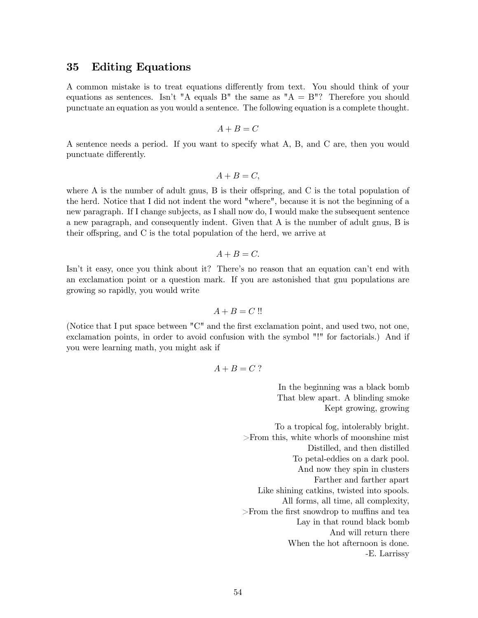### 35 Editing Equations

A common mistake is to treat equations differently from text. You should think of your equations as sentences. Isn't "A equals B" the same as "A = B"? Therefore you should punctuate an equation as you would a sentence. The following equation is a complete thought.

$$
A+B=C
$$

A sentence needs a period. If you want to specify what A, B, and C are, then you would punctuate differently.

$$
A+B=C,
$$

where A is the number of adult gnus, B is their offspring, and C is the total population of the herd. Notice that I did not indent the word "where", because it is not the beginning of a new paragraph. If I change subjects, as I shall now do, I would make the subsequent sentence a new paragraph, and consequently indent. Given that A is the number of adult gnus, B is their offspring, and C is the total population of the herd, we arrive at

$$
A+B=C.
$$

Isn't it easy, once you think about it? There's no reason that an equation can't end with an exclamation point or a question mark. If you are astonished that gnu populations are growing so rapidly, you would write

$$
A + B = C \mathrel{!!}
$$

(Notice that I put space between "C" and the first exclamation point, and used two, not one, exclamation points, in order to avoid confusion with the symbol "!" for factorials.) And if you were learning math, you might ask if

$$
A+B=C?
$$

In the beginning was a black bomb That blew apart. A blinding smoke Kept growing, growing

To a tropical fog, intolerably bright. >From this, white whorls of moonshine mist Distilled, and then distilled To petal-eddies on a dark pool. And now they spin in clusters Farther and farther apart Like shining catkins, twisted into spools. All forms, all time, all complexity, >From the first snowdrop to muffins and tea Lay in that round black bomb And will return there When the hot afternoon is done. -E. Larrissy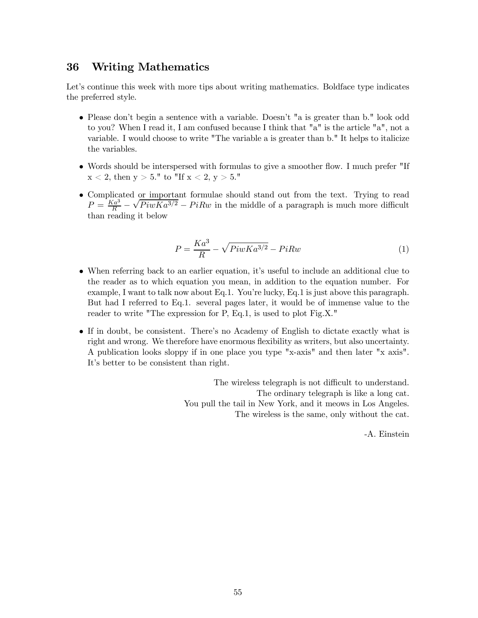## 36 Writing Mathematics

Let's continue this week with more tips about writing mathematics. Boldface type indicates the preferred style.

- Please don't begin a sentence with a variable. Doesn't "a is greater than b." look odd to you? When I read it, I am confused because I think that "a" is the article "a", not a variable. I would choose to write "The variable a is greater than b." It helps to italicize the variables.
- Words should be interspersed with formulas to give a smoother flow. I much prefer "If  $x < 2$ , then  $y > 5$ ." to "If  $x < 2$ ,  $y > 5$ ."
- Complicated or important formulae should stand out from the text. Trying to read  $P=\frac{K a^3}{R}$  $\overline{R}$  –  $\sqrt{P_i wKa^{3/2}} - P_i R w$  in the middle of a paragraph is much more difficult than reading it below

$$
P = \frac{Ka^3}{R} - \sqrt{PiwKa^{3/2}} - PiRw\tag{1}
$$

- When referring back to an earlier equation, it's useful to include an additional clue to the reader as to which equation you mean, in addition to the equation number. For example, I want to talk now about Eq.1. You're lucky, Eq.1 is just above this paragraph. But had I referred to Eq.1. several pages later, it would be of immense value to the reader to write "The expression for P, Eq.1, is used to plot Fig.X."
- If in doubt, be consistent. There's no Academy of English to dictate exactly what is right and wrong. We therefore have enormous flexibility as writers, but also uncertainty. A publication looks sloppy if in one place you type "x-axis" and then later "x axis". It's better to be consistent than right.

The wireless telegraph is not difficult to understand. The ordinary telegraph is like a long cat. You pull the tail in New York, and it meows in Los Angeles. The wireless is the same, only without the cat.

-A. Einstein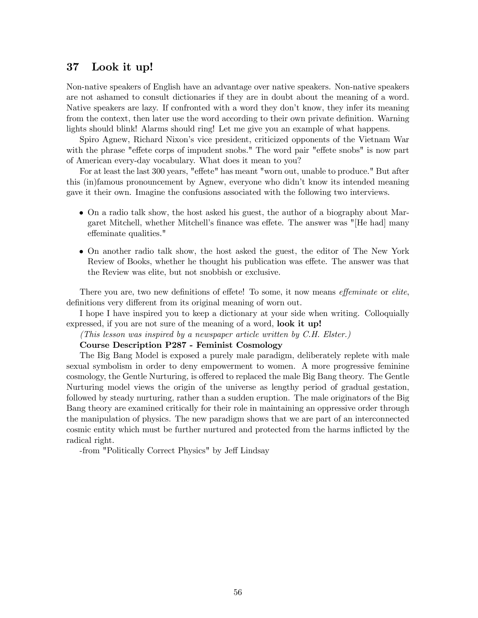# 37 Look it up!

Non-native speakers of English have an advantage over native speakers. Non-native speakers are not ashamed to consult dictionaries if they are in doubt about the meaning of a word. Native speakers are lazy. If confronted with a word they don't know, they infer its meaning from the context, then later use the word according to their own private definition. Warning lights should blink! Alarms should ring! Let me give you an example of what happens.

Spiro Agnew, Richard Nixon's vice president, criticized opponents of the Vietnam War with the phrase "effete corps of impudent snobs." The word pair "effete snobs" is now part of American every-day vocabulary. What does it mean to you?

For at least the last 300 years, "effete" has meant "worn out, unable to produce." But after this (in)famous pronouncement by Agnew, everyone who didn't know its intended meaning gave it their own. Imagine the confusions associated with the following two interviews.

- On a radio talk show, the host asked his guest, the author of a biography about Margaret Mitchell, whether Mitchell's finance was effete. The answer was "[He had] many effeminate qualities."
- On another radio talk show, the host asked the guest, the editor of The New York Review of Books, whether he thought his publication was effete. The answer was that the Review was elite, but not snobbish or exclusive.

There you are, two new definitions of effete! To some, it now means *effeminate* or *elite*, definitions very different from its original meaning of worn out.

I hope I have inspired you to keep a dictionary at your side when writing. Colloquially expressed, if you are not sure of the meaning of a word, **look it up!** 

(This lesson was inspired by a newspaper article written by C.H. Elster.)

#### Course Description P287 - Feminist Cosmology

The Big Bang Model is exposed a purely male paradigm, deliberately replete with male sexual symbolism in order to deny empowerment to women. A more progressive feminine cosmology, the Gentle Nurturing, is offered to replaced the male Big Bang theory. The Gentle Nurturing model views the origin of the universe as lengthy period of gradual gestation, followed by steady nurturing, rather than a sudden eruption. The male originators of the Big Bang theory are examined critically for their role in maintaining an oppressive order through the manipulation of physics. The new paradigm shows that we are part of an interconnected cosmic entity which must be further nurtured and protected from the harms inflicted by the radical right.

-from "Politically Correct Physics" by Jeff Lindsay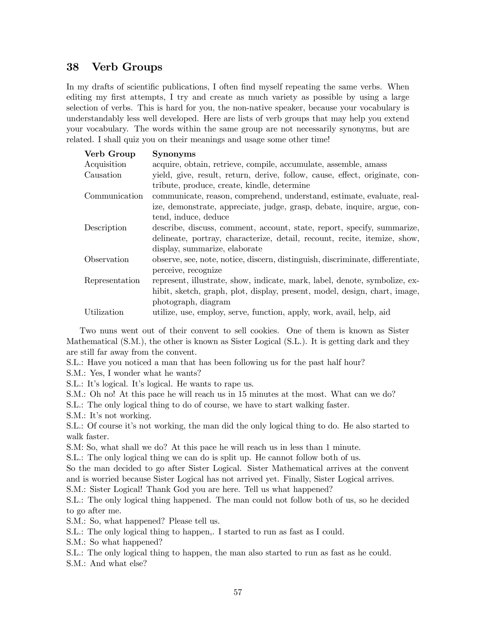# 38 Verb Groups

In my drafts of scientific publications, I often find myself repeating the same verbs. When editing my first attempts, I try and create as much variety as possible by using a large selection of verbs. This is hard for you, the non-native speaker, because your vocabulary is understandably less well developed. Here are lists of verb groups that may help you extend your vocabulary. The words within the same group are not necessarily synonyms, but are related. I shall quiz you on their meanings and usage some other time!

| <b>Synonyms</b>                                                                |
|--------------------------------------------------------------------------------|
| acquire, obtain, retrieve, compile, accumulate, assemble, amass                |
| yield, give, result, return, derive, follow, cause, effect, originate, con-    |
| tribute, produce, create, kindle, determine                                    |
| communicate, reason, comprehend, understand, estimate, evaluate, real-         |
| ize, demonstrate, appreciate, judge, grasp, debate, inquire, argue, con-       |
| tend, induce, deduce                                                           |
| describe, discuss, comment, account, state, report, specify, summarize,        |
| delineate, portray, characterize, detail, recount, recite, itemize, show,      |
| display, summarize, elaborate                                                  |
| observe, see, note, notice, discern, distinguish, discriminate, differentiate, |
| perceive, recognize                                                            |
| represent, illustrate, show, indicate, mark, label, denote, symbolize, ex-     |
| hibit, sketch, graph, plot, display, present, model, design, chart, image,     |
| photograph, diagram                                                            |
| utilize, use, employ, serve, function, apply, work, avail, help, aid           |
|                                                                                |

Two nuns went out of their convent to sell cookies. One of them is known as Sister Mathematical (S.M.), the other is known as Sister Logical (S.L.). It is getting dark and they are still far away from the convent.

S.L.: Have you noticed a man that has been following us for the past half hour?

S.M.: Yes, I wonder what he wants?

S.L.: It's logical. It's logical. He wants to rape us.

S.M.: Oh no! At this pace he will reach us in 15 minutes at the most. What can we do?

S.L.: The only logical thing to do of course, we have to start walking faster.

S.M.: It's not working.

S.L.: Of course it's not working, the man did the only logical thing to do. He also started to walk faster.

S.M: So, what shall we do? At this pace he will reach us in less than 1 minute.

S.L.: The only logical thing we can do is split up. He cannot follow both of us.

So the man decided to go after Sister Logical. Sister Mathematical arrives at the convent and is worried because Sister Logical has not arrived yet. Finally, Sister Logical arrives.

S.M.: Sister Logical! Thank God you are here. Tell us what happened?

S.L.: The only logical thing happened. The man could not follow both of us, so he decided to go after me.

S.M.: So, what happened? Please tell us.

S.L.: The only logical thing to happen,. I started to run as fast as I could.

S.M.: So what happened?

S.L.: The only logical thing to happen, the man also started to run as fast as he could.

S.M.: And what else?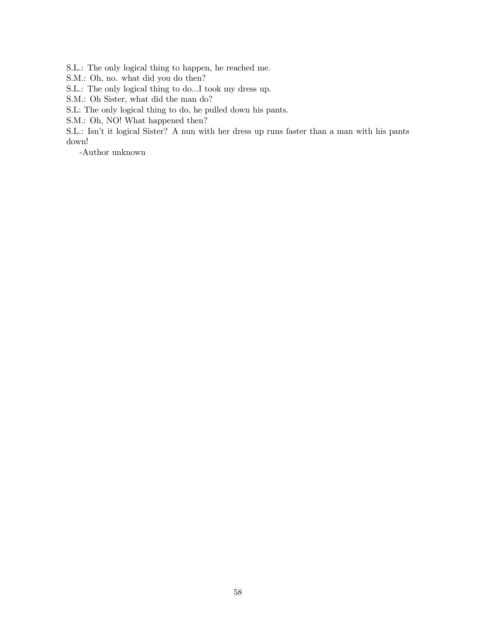S.L.: The only logical thing to happen, he reached me.

S.M.: Oh, no. what did you do then?

S.L.: The only logical thing to do...I took my dress up.

S.M.: Oh Sister, what did the man do?

S.L: The only logical thing to do, he pulled down his pants.

S.M.: Oh, NO! What happened then?

S.L.: Isn't it logical Sister? A nun with her dress up runs faster than a man with his pants down!

-Author unknown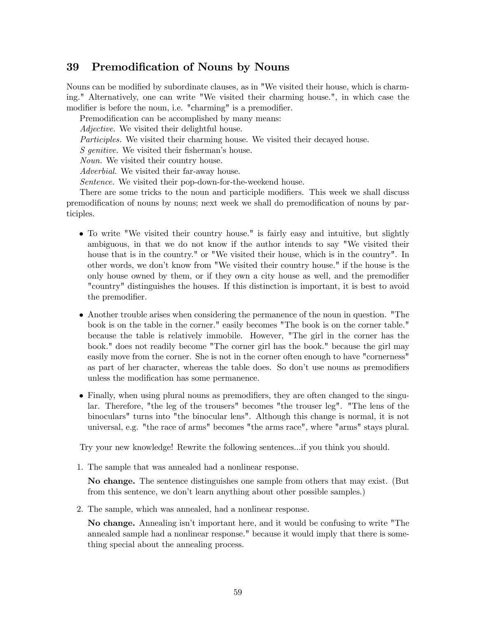# 39 Premodification of Nouns by Nouns

Nouns can be modified by subordinate clauses, as in "We visited their house, which is charming." Alternatively, one can write "We visited their charming house.", in which case the modifier is before the noun, i.e. "charming" is a premodifier.

Premodification can be accomplished by many means:

Adjective. We visited their delightful house.

Participles. We visited their charming house. We visited their decayed house.

S genitive. We visited their fisherman's house.

Noun. We visited their country house.

Adverbial. We visited their far-away house.

Sentence. We visited their pop-down-for-the-weekend house.

There are some tricks to the noun and participle modifiers. This week we shall discuss premodification of nouns by nouns; next week we shall do premodification of nouns by participles.

- To write "We visited their country house." is fairly easy and intuitive, but slightly ambiguous, in that we do not know if the author intends to say "We visited their house that is in the country." or "We visited their house, which is in the country". In other words, we don't know from "We visited their country house." if the house is the only house owned by them, or if they own a city house as well, and the premodifier "country" distinguishes the houses. If this distinction is important, it is best to avoid the premodifier.
- Another trouble arises when considering the permanence of the noun in question. "The book is on the table in the corner." easily becomes "The book is on the corner table." because the table is relatively immobile. However, "The girl in the corner has the book." does not readily become "The corner girl has the book." because the girl may easily move from the corner. She is not in the corner often enough to have "cornerness" as part of her character, whereas the table does. So don't use nouns as premodifiers unless the modification has some permanence.
- Finally, when using plural nouns as premodifiers, they are often changed to the singular. Therefore, "the leg of the trousers" becomes "the trouser leg". "The lens of the binoculars" turns into "the binocular lens". Although this change is normal, it is not universal, e.g. "the race of arms" becomes "the arms race", where "arms" stays plural.

Try your new knowledge! Rewrite the following sentences...if you think you should.

1. The sample that was annealed had a nonlinear response.

No change. The sentence distinguishes one sample from others that may exist. (But from this sentence, we don't learn anything about other possible samples.)

2. The sample, which was annealed, had a nonlinear response.

No change. Annealing isn't important here, and it would be confusing to write "The annealed sample had a nonlinear response." because it would imply that there is something special about the annealing process.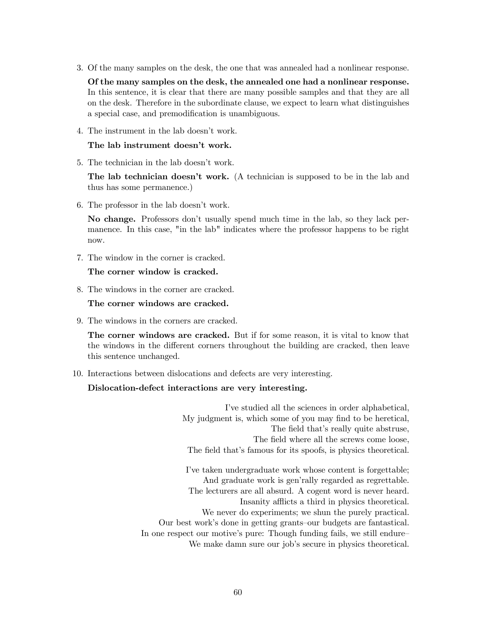3. Of the many samples on the desk, the one that was annealed had a nonlinear response.

Of the many samples on the desk, the annealed one had a nonlinear response. In this sentence, it is clear that there are many possible samples and that they are all on the desk. Therefore in the subordinate clause, we expect to learn what distinguishes a special case, and premodification is unambiguous.

4. The instrument in the lab doesn't work.

#### The lab instrument doesn't work.

5. The technician in the lab doesn't work.

The lab technician doesn't work. (A technician is supposed to be in the lab and thus has some permanence.)

6. The professor in the lab doesn't work.

No change. Professors don't usually spend much time in the lab, so they lack permanence. In this case, "in the lab" indicates where the professor happens to be right now.

7. The window in the corner is cracked.

#### The corner window is cracked.

8. The windows in the corner are cracked.

The corner windows are cracked.

9. The windows in the corners are cracked.

The corner windows are cracked. But if for some reason, it is vital to know that the windows in the different corners throughout the building are cracked, then leave this sentence unchanged.

10. Interactions between dislocations and defects are very interesting.

### Dislocation-defect interactions are very interesting.

I've studied all the sciences in order alphabetical, My judgment is, which some of you may find to be heretical, The field that's really quite abstruse, The field where all the screws come loose, The field that's famous for its spoofs, is physics theoretical.

I've taken undergraduate work whose content is forgettable; And graduate work is gen'rally regarded as regrettable. The lecturers are all absurd. A cogent word is never heard. Insanity afflicts a third in physics theoretical. We never do experiments; we shun the purely practical. Our best work's done in getting grants—our budgets are fantastical. In one respect our motive's pure: Though funding fails, we still endure— We make damn sure our job's secure in physics theoretical.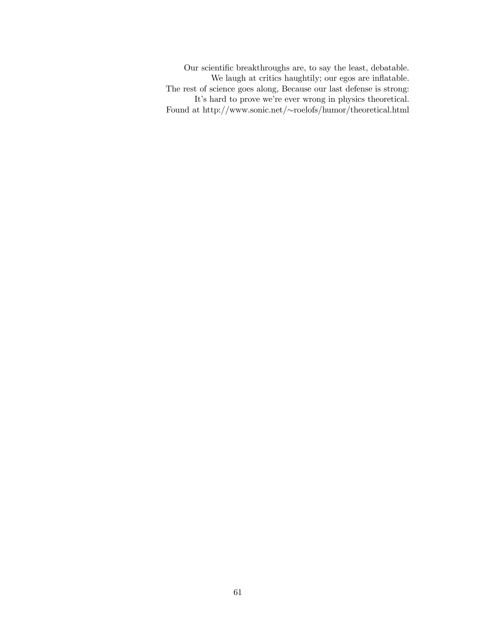Our scientific breakthroughs are, to say the least, debatable. We laugh at critics haughtily; our egos are inflatable. The rest of science goes along, Because our last defense is strong: It's hard to prove we're ever wrong in physics theoretical. Found at http://www.sonic.net/∼roelofs/humor/theoretical.html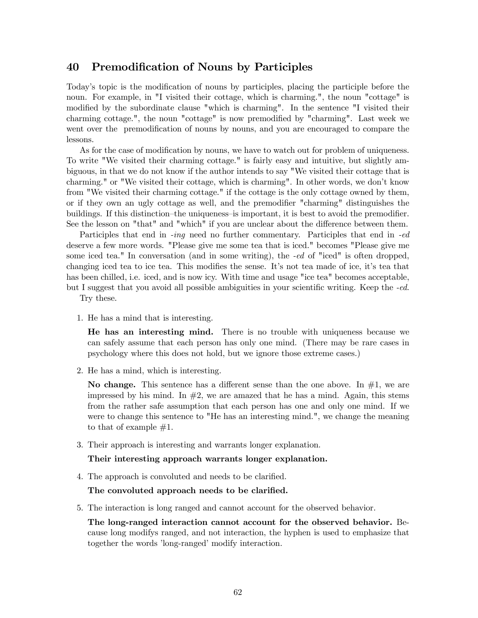# 40 Premodification of Nouns by Participles

Today's topic is the modification of nouns by participles, placing the participle before the noun. For example, in "I visited their cottage, which is charming.", the noun "cottage" is modified by the subordinate clause "which is charming". In the sentence "I visited their charming cottage.", the noun "cottage" is now premodified by "charming". Last week we went over the premodification of nouns by nouns, and you are encouraged to compare the lessons.

As for the case of modification by nouns, we have to watch out for problem of uniqueness. To write "We visited their charming cottage." is fairly easy and intuitive, but slightly ambiguous, in that we do not know if the author intends to say "We visited their cottage that is charming." or "We visited their cottage, which is charming". In other words, we don't know from "We visited their charming cottage." if the cottage is the only cottage owned by them, or if they own an ugly cottage as well, and the premodifier "charming" distinguishes the buildings. If this distinction—the uniqueness—is important, it is best to avoid the premodifier. See the lesson on "that" and "which" if you are unclear about the difference between them.

Participles that end in -ing need no further commentary. Participles that end in -ed deserve a few more words. "Please give me some tea that is iced." becomes "Please give me some iced tea." In conversation (and in some writing), the -ed of "iced" is often dropped, changing iced tea to ice tea. This modifies the sense. It's not tea made of ice, it's tea that has been chilled, i.e. iced, and is now icy. With time and usage "ice tea" becomes acceptable, but I suggest that you avoid all possible ambiguities in your scientific writing. Keep the -ed.

Try these.

1. He has a mind that is interesting.

He has an interesting mind. There is no trouble with uniqueness because we can safely assume that each person has only one mind. (There may be rare cases in psychology where this does not hold, but we ignore those extreme cases.)

2. He has a mind, which is interesting.

No change. This sentence has a different sense than the one above. In  $#1$ , we are impressed by his mind. In  $#2$ , we are amazed that he has a mind. Again, this stems from the rather safe assumption that each person has one and only one mind. If we were to change this sentence to "He has an interesting mind.", we change the meaning to that of example  $#1$ .

3. Their approach is interesting and warrants longer explanation.

#### Their interesting approach warrants longer explanation.

4. The approach is convoluted and needs to be clarified.

#### The convoluted approach needs to be clarified.

5. The interaction is long ranged and cannot account for the observed behavior.

The long-ranged interaction cannot account for the observed behavior. Because long modifys ranged, and not interaction, the hyphen is used to emphasize that together the words 'long-ranged' modify interaction.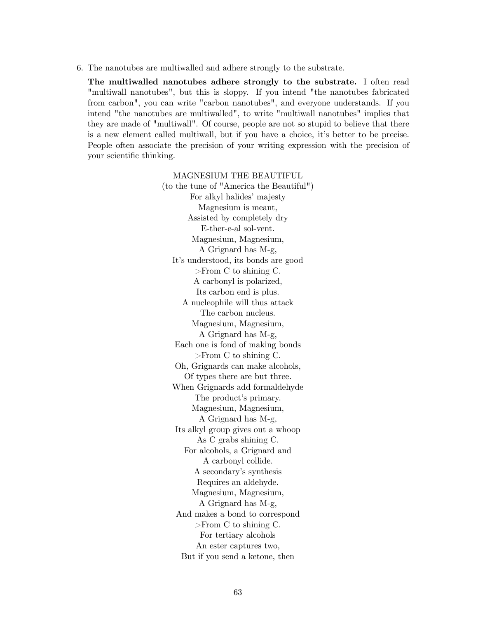6. The nanotubes are multiwalled and adhere strongly to the substrate.

The multiwalled nanotubes adhere strongly to the substrate. I often read "multiwall nanotubes", but this is sloppy. If you intend "the nanotubes fabricated from carbon", you can write "carbon nanotubes", and everyone understands. If you intend "the nanotubes are multiwalled", to write "multiwall nanotubes" implies that they are made of "multiwall". Of course, people are not so stupid to believe that there is a new element called multiwall, but if you have a choice, it's better to be precise. People often associate the precision of your writing expression with the precision of your scientific thinking.

> MAGNESIUM THE BEAUTIFUL (to the tune of "America the Beautiful") For alkyl halides' majesty Magnesium is meant, Assisted by completely dry E-ther-e-al sol-vent. Magnesium, Magnesium, A Grignard has M-g, It's understood, its bonds are good >From C to shining C. A carbonyl is polarized, Its carbon end is plus. A nucleophile will thus attack The carbon nucleus. Magnesium, Magnesium, A Grignard has M-g, Each one is fond of making bonds >From C to shining C. Oh, Grignards can make alcohols, Of types there are but three. When Grignards add formaldehyde The product's primary. Magnesium, Magnesium, A Grignard has M-g, Its alkyl group gives out a whoop As C grabs shining C. For alcohols, a Grignard and A carbonyl collide. A secondary's synthesis Requires an aldehyde. Magnesium, Magnesium, A Grignard has M-g, And makes a bond to correspond >From C to shining C. For tertiary alcohols An ester captures two, But if you send a ketone, then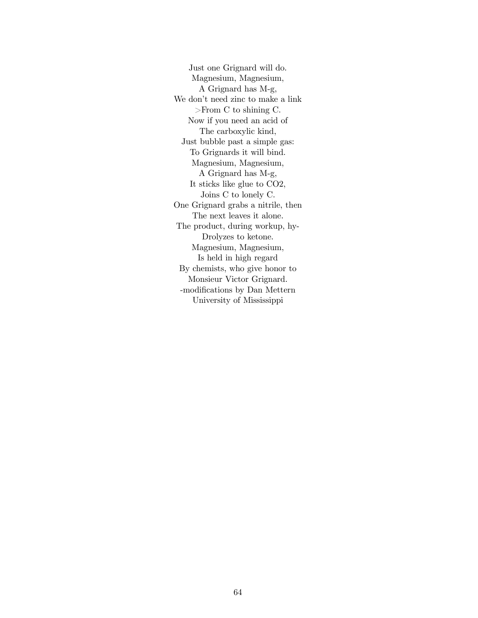Just one Grignard will do. Magnesium, Magnesium, A Grignard has M-g, We don't need zinc to make a link >From C to shining C. Now if you need an acid of The carboxylic kind, Just bubble past a simple gas: To Grignards it will bind. Magnesium, Magnesium, A Grignard has M-g, It sticks like glue to CO2, Joins C to lonely C. One Grignard grabs a nitrile, then The next leaves it alone. The product, during workup, hy-Drolyzes to ketone. Magnesium, Magnesium, Is held in high regard By chemists, who give honor to Monsieur Victor Grignard. -modifications by Dan Mettern University of Mississippi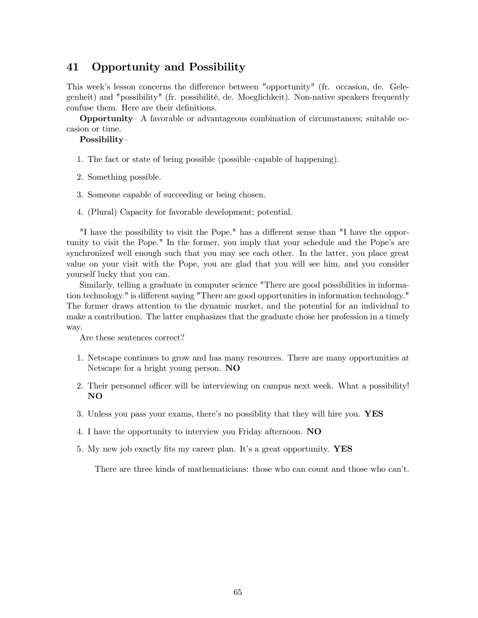# 41 Opportunity and Possibility

This week's lesson concerns the difference between "opportunity" (fr. occasion, de. Gelegenheit) and "possibility" (fr. possibilité, de. Moeglichkeit). Non-native speakers frequently confuse them. Here are their definitions.

Opportunity— A favorable or advantageous combination of circumstances; suitable occasion or time.

### Possibility—

- 1. The fact or state of being possible (possible—capable of happening).
- 2. Something possible.
- 3. Someone capable of succeeding or being chosen.
- 4. (Plural) Capacity for favorable development; potential.

"I have the possibility to visit the Pope." has a different sense than "I have the opportunity to visit the Pope." In the former, you imply that your schedule and the Pope's are synchronized well enough such that you may see each other. In the latter, you place great value on your visit with the Pope, you are glad that you will see him, and you consider yourself lucky that you can.

Similarly, telling a graduate in computer science "There are good possibilities in information technology." is different saying "There are good opportunities in information technology." The former draws attention to the dynamic market, and the potential for an individual to make a contribution. The latter emphasizes that the graduate chose her profession in a timely way.

Are these sentences correct?

- 1. Netscape continues to grow and has many resources. There are many opportunities at Netscape for a bright young person. NO
- 2. Their personnel officer will be interviewing on campus next week. What a possibility! NO
- 3. Unless you pass your exams, there's no possiblity that they will hire you. YES
- 4. I have the opportunity to interview you Friday afternoon. NO
- 5. My new job exactly fits my career plan. It's a great opportunity. YES

There are three kinds of mathematicians: those who can count and those who can't.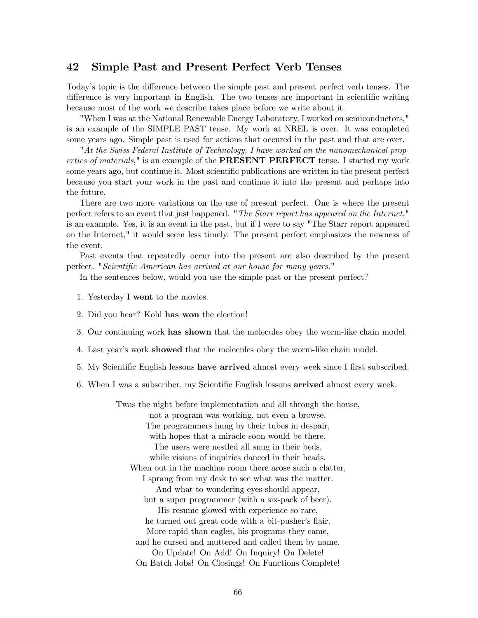### 42 Simple Past and Present Perfect Verb Tenses

Today's topic is the difference between the simple past and present perfect verb tenses. The difference is very important in English. The two tenses are important in scientific writing because most of the work we describe takes place before we write about it.

"When I was at the National Renewable Energy Laboratory, I worked on semiconductors," is an example of the SIMPLE PAST tense. My work at NREL is over. It was completed some years ago. Simple past is used for actions that occured in the past and that are over.

"At the Swiss Federal Institute of Technology, I have worked on the nanomechanical properties of materials," is an example of the **PRESENT PERFECT** tense. I started my work some years ago, but continue it. Most scientific publications are written in the present perfect because you start your work in the past and continue it into the present and perhaps into the future.

There are two more variations on the use of present perfect. One is where the present perfect refers to an event that just happened. "The Starr report has appeared on the Internet," is an example. Yes, it is an event in the past, but if I were to say "The Starr report appeared on the Internet," it would seem less timely. The present perfect emphasizes the newness of the event.

Past events that repeatedly occur into the present are also described by the present perfect. "Scientific American has arrived at our house for many years."

In the sentences below, would you use the simple past or the present perfect?

- 1. Yesterday I went to the movies.
- 2. Did you hear? Kohl has won the election!
- 3. Our continuing work has shown that the molecules obey the worm-like chain model.
- 4. Last year's work showed that the molecules obey the worm-like chain model.
- 5. My Scientific English lessons have arrived almost every week since I first subscribed.
- 6. When I was a subscriber, my Scientific English lessons arrived almost every week.

Twas the night before implementation and all through the house, not a program was working, not even a browse. The programmers hung by their tubes in despair, with hopes that a miracle soon would be there. The users were nestled all snug in their beds, while visions of inquiries danced in their heads. When out in the machine room there arose such a clatter, I sprang from my desk to see what was the matter. And what to wondering eyes should appear, but a super programmer (with a six-pack of beer). His resume glowed with experience so rare, he turned out great code with a bit-pusher's flair. More rapid than eagles, his programs they came, and he cursed and muttered and called them by name. On Update! On Add! On Inquiry! On Delete! On Batch Jobs! On Closings! On Functions Complete!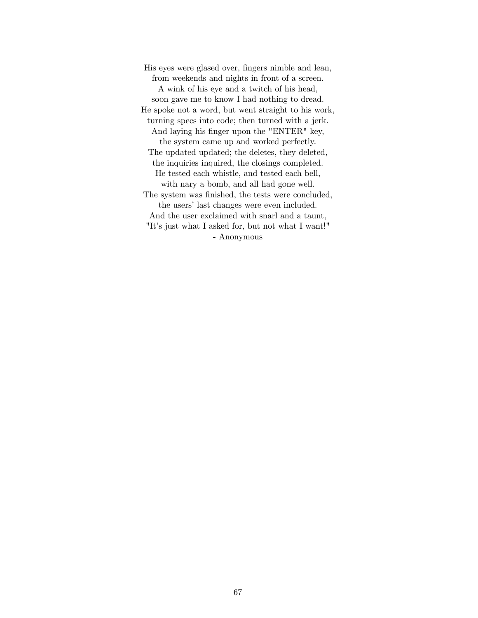His eyes were glased over, fingers nimble and lean, from weekends and nights in front of a screen. A wink of his eye and a twitch of his head, soon gave me to know I had nothing to dread. He spoke not a word, but went straight to his work, turning specs into code; then turned with a jerk. And laying his finger upon the "ENTER" key, the system came up and worked perfectly. The updated updated; the deletes, they deleted, the inquiries inquired, the closings completed. He tested each whistle, and tested each bell, with nary a bomb, and all had gone well. The system was finished, the tests were concluded, the users' last changes were even included. And the user exclaimed with snarl and a taunt, "It's just what I asked for, but not what I want!" - Anonymous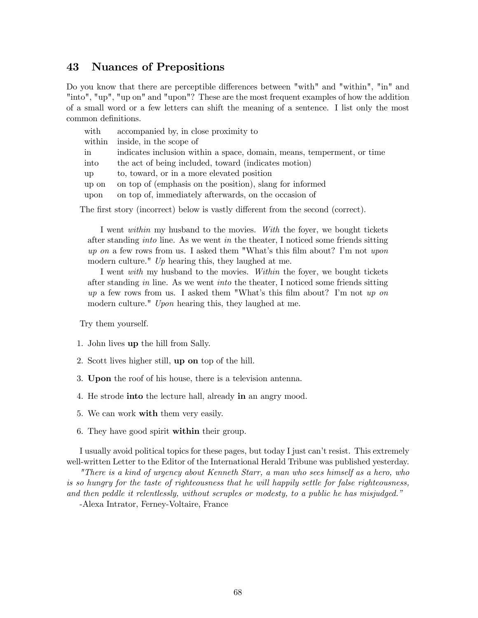# 43 Nuances of Prepositions

Do you know that there are perceptible differences between "with" and "within", "in" and "into", "up", "up on" and "upon"? These are the most frequent examples of how the addition of a small word or a few letters can shift the meaning of a sentence. I list only the most common definitions.

| with   | accompanied by, in close proximity to                                  |
|--------|------------------------------------------------------------------------|
| within | inside, in the scope of                                                |
| in     | indicates inclusion within a space, domain, means, temperment, or time |
| into   | the act of being included, toward (indicates motion)                   |
| up     | to, toward, or in a more elevated position                             |
| up on  | on top of (emphasis on the position), slang for informed               |
| upon   | on top of, immediately afterwards, on the occasion of                  |
|        |                                                                        |

The first story (incorrect) below is vastly different from the second (correct).

I went within my husband to the movies. With the foyer, we bought tickets after standing into line. As we went in the theater, I noticed some friends sitting up on a few rows from us. I asked them "What's this film about? I'm not upon modern culture."  $Up$  hearing this, they laughed at me.

I went with my husband to the movies. Within the foyer, we bought tickets after standing in line. As we went into the theater, I noticed some friends sitting  $up$  a few rows from us. I asked them "What's this film about? I'm not up on modern culture." Upon hearing this, they laughed at me.

Try them yourself.

- 1. John lives up the hill from Sally.
- 2. Scott lives higher still, up on top of the hill.
- 3. Upon the roof of his house, there is a television antenna.
- 4. He strode into the lecture hall, already in an angry mood.
- 5. We can work with them very easily.
- 6. They have good spirit within their group.

I usually avoid political topics for these pages, but today I just can't resist. This extremely well-written Letter to the Editor of the International Herald Tribune was published yesterday.

"There is a kind of urgency about Kenneth Starr, a man who sees himself as a hero, who is so hungry for the taste of righteousness that he will happily settle for false righteousness, and then peddle it relentlessly, without scruples or modesty, to a public he has misjudged."

-Alexa Intrator, Ferney-Voltaire, France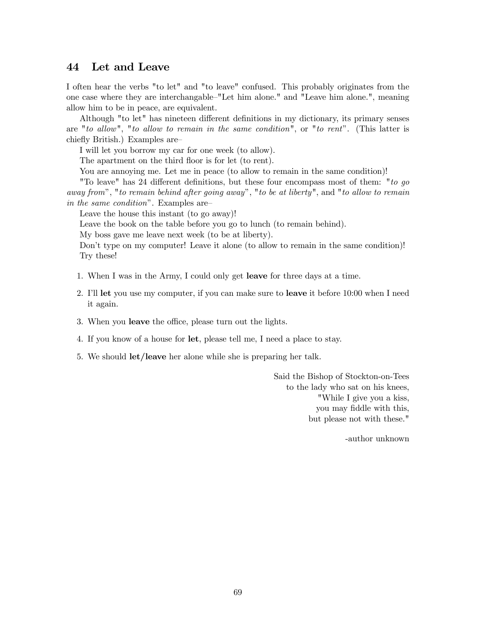## 44 Let and Leave

I often hear the verbs "to let" and "to leave" confused. This probably originates from the one case where they are interchangable—"Let him alone." and "Leave him alone.", meaning allow him to be in peace, are equivalent.

Although "to let" has nineteen different definitions in my dictionary, its primary senses are "to allow", "to allow to remain in the same condition", or "to rent". (This latter is chiefly British.) Examples are—

I will let you borrow my car for one week (to allow).

The apartment on the third floor is for let (to rent).

You are annoying me. Let me in peace (to allow to remain in the same condition)!

"To leave" has 24 different definitions, but these four encompass most of them: "to go away from", "to remain behind after going away", "to be at liberty", and "to allow to remain in the same condition". Examples are—

Leave the house this instant (to go away)!

Leave the book on the table before you go to lunch (to remain behind).

My boss gave me leave next week (to be at liberty).

Don't type on my computer! Leave it alone (to allow to remain in the same condition)! Try these!

- 1. When I was in the Army, I could only get leave for three days at a time.
- 2. I'll let you use my computer, if you can make sure to leave it before 10:00 when I need it again.
- 3. When you leave the office, please turn out the lights.
- 4. If you know of a house for let, please tell me, I need a place to stay.
- 5. We should let/leave her alone while she is preparing her talk.

Said the Bishop of Stockton-on-Tees to the lady who sat on his knees, "While I give you a kiss, you may fiddle with this, but please not with these."

-author unknown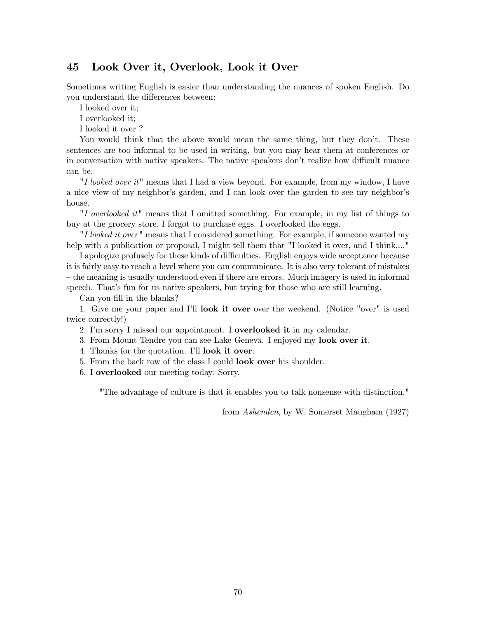# 45 Look Over it, Overlook, Look it Over

Sometimes writing English is easier than understanding the nuances of spoken English. Do you understand the differences between:

I looked over it;

I overlooked it;

I looked it over ?

You would think that the above would mean the same thing, but they don't. These sentences are too informal to be used in writing, but you may hear them at conferences or in conversation with native speakers. The native speakers don't realize how difficult nuance can be.

"I looked over it" means that I had a view beyond. For example, from my window, I have a nice view of my neighbor's garden, and I can look over the garden to see my neighbor's house.

"I overlooked it" means that I omitted something. For example, in my list of things to buy at the grocery store, I forgot to purchase eggs. I overlooked the eggs.

"I looked it over" means that I considered something. For example, if someone wanted my help with a publication or proposal, I might tell them that "I looked it over, and I think...."

I apologize profusely for these kinds of difficulties. English enjoys wide acceptance because it is fairly easy to reach a level where you can communicate. It is also very tolerant of mistakes — the meaning is usually understood even if there are errors. Much imagery is used in informal speech. That's fun for us native speakers, but trying for those who are still learning.

Can you fill in the blanks?

1. Give me your paper and I'll look it over over the weekend. (Notice "over" is used twice correctly!)

2. I'm sorry I missed our appointment. I **overlooked it** in my calendar.

3. From Mount Tendre you can see Lake Geneva. I enjoyed my look over it.

4. Thanks for the quotation. I'll look it over.

5. From the back row of the class I could look over his shoulder.

6. I overlooked our meeting today. Sorry.

"The advantage of culture is that it enables you to talk nonsense with distinction."

from Ashenden, by W. Somerset Maugham (1927)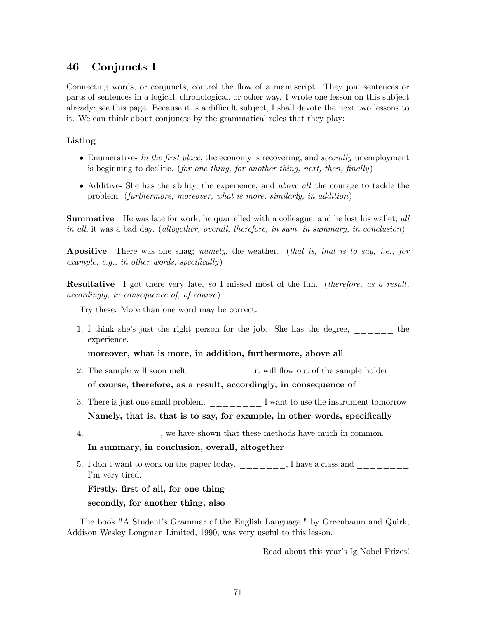# 46 Conjuncts I

Connecting words, or conjuncts, control the flow of a manuscript. They join sentences or parts of sentences in a logical, chronological, or other way. I wrote one lesson on this subject already; see this page. Because it is a difficult subject, I shall devote the next two lessons to it. We can think about conjuncts by the grammatical roles that they play:

### Listing

- Enumerative- In the first place, the economy is recovering, and secondly unemployment is beginning to decline. (for one thing, for another thing, next, then, finally)
- Additive- She has the ability, the experience, and above all the courage to tackle the problem. (furthermore, moreover, what is more, similarly, in addition)

**Summative** He was late for work, he quarrelled with a colleague, and he lost his wallet; all in all, it was a bad day. (altogether, overall, therefore, in sum, in summary, in conclusion)

**Apositive** There was one snag; namely, the weather. (that is, that is to say, i.e., for example, e.g., in other words, specifically)

**Resultative** I got there very late, so I missed most of the fun. (*therefore, as a result,* accordingly, in consequence of, of course)

Try these. More than one word may be correct.

1. I think she's just the right person for the job. She has the degree, \_\_\_\_\_\_ the experience.

moreover, what is more, in addition, furthermore, above all

- 2. The sample will soon melt.  $\frac{1}{2}$  =  $\frac{1}{2}$  it will flow out of the sample holder. of course, therefore, as a result, accordingly, in consequence of
- 3. There is just one small problem.  $\frac{1}{1}$  =  $\frac{1}{1}$  want to use the instrument tomorrow. Namely, that is, that is to say, for example, in other words, specifically
- 4. \_\_\_\_\_\_\_\_\_, we have shown that these methods have much in common. In summary, in conclusion, overall, altogether
- 5. I don't want to work on the paper today.  $\frac{1}{1-\frac{1}{1-\frac{1}{1-\frac{1}{1-\frac{1}{1-\frac{1}{1-\frac{1}{1-\frac{1}{1-\frac{1}{1-\frac{1}{1-\frac{1}{1-\frac{1}{1-\frac{1}{1-\frac{1}{1-\frac{1}{1-\frac{1}{1-\frac{1}{1-\frac{1}{1-\frac{1}{1-\frac{1}{1-\frac{1}{1-\frac{1}{1-\frac{1}{1-\frac{1}{1-\frac{1}{1-\frac{1}{1-\frac{1}{1-\frac{1}{1-\frac{1}{1-\frac$ I'm very tired.

Firstly, first of all, for one thing secondly, for another thing, also

The book "A Student's Grammar of the English Language," by Greenbaum and Quirk, Addison Wesley Longman Limited, 1990, was very useful to this lesson.

Read about this year's Ig Nobel Prizes!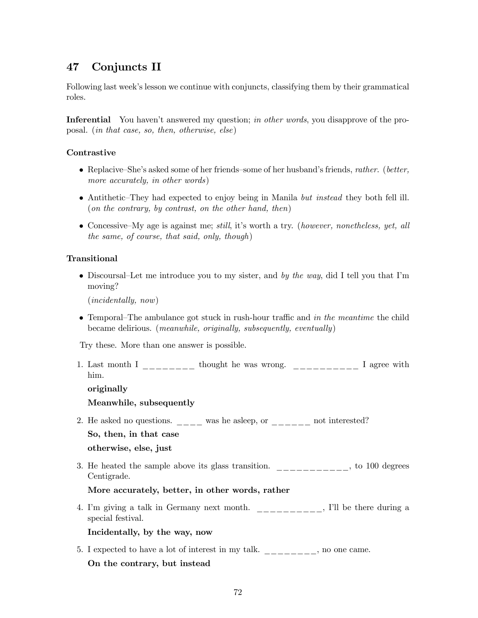# 47 Conjuncts II

Following last week's lesson we continue with conjuncts, classifying them by their grammatical roles.

Inferential You haven't answered my question; in other words, you disapprove of the proposal. (in that case, so, then, otherwise, else)

### **Contrastive**

- Replacive—She's asked some of her friends—some of her husband's friends, rather. (better, more accurately, in other words)
- Antithetic–They had expected to enjoy being in Manila but instead they both fell ill. (on the contrary, by contrast, on the other hand, then)
- Concessive—My age is against me; still, it's worth a try. (however, nonetheless, yet, all the same, of course, that said, only, though)

### Transitional

• Discoursal–Let me introduce you to my sister, and by the way, did I tell you that I'm moving?

(incidentally, now)

• Temporal–The ambulance got stuck in rush-hour traffic and in the meantime the child became delirious. (meanwhile, originally, subsequently, eventually)

Try these. More than one answer is possible.

1. Last month I  $\frac{1}{\frac{1}{1-\frac{1}{1-\frac{1}{1-\frac{1}{1-\frac{1}{1-\frac{1}{1-\frac{1}{1-\frac{1}{1-\frac{1}{1-\frac{1}{1-\frac{1}{1-\frac{1}{1-\frac{1}{1-\frac{1}{1-\frac{1}{1-\frac{1}{1-\frac{1}{1-\frac{1}{1-\frac{1}{1-\frac{1}{1-\frac{1}{1-\frac{1}{1-\frac{1}{1-\frac{1}{1-\frac{1}{1-\frac{1}{1-\frac{1}{1-\frac{1}{1-\frac{1}{1-\frac{1}{1-\frac{1}{1-\frac{1}{1-\frac{1}{1-\$ him.

originally

#### Meanwhile, subsequently

2. He asked no questions. \_\_\_\_ was he asleep, or \_\_\_\_\_ not interested?

So, then, in that case

otherwise, else, just

3. He heated the sample above its glass transition.  $\frac{1}{1}$  =  $\frac{1}{1}$  =  $\frac{1}{1}$  to 100 degrees Centigrade.

### More accurately, better, in other words, rather

4. I'm giving a talk in Germany next month. \_\_\_\_\_\_\_\_\_\_, I'll be there during a special festival.

### Incidentally, by the way, now

5. I expected to have a lot of interest in my talk. \_\_\_\_\_\_\_, no one came. On the contrary, but instead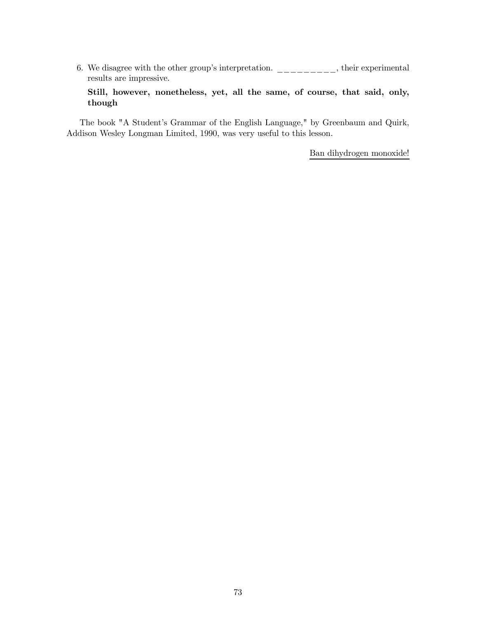6. We disagree with the other group's interpretation.  $\frac{1}{1-\frac{1}{1-\frac{1}{1-\frac{1}{1-\frac{1}{1-\frac{1}{1-\frac{1}{1-\frac{1}{1-\frac{1}{1-\frac{1}{1-\frac{1}{1-\frac{1}{1-\frac{1}{1-\frac{1}{1-\frac{1}{1-\frac{1}{1-\frac{1}{1-\frac{1}{1-\frac{1}{1-\frac{1}{1-\frac{1}{1-\frac{1}{1-\frac{1}{1-\frac{1}{1-\frac{1}{1-\frac{1}{1-\frac{1}{1-\frac{1$ results are impressive.

Still, however, nonetheless, yet, all the same, of course, that said, only, though

The book "A Student's Grammar of the English Language," by Greenbaum and Quirk, Addison Wesley Longman Limited, 1990, was very useful to this lesson.

Ban dihydrogen monoxide!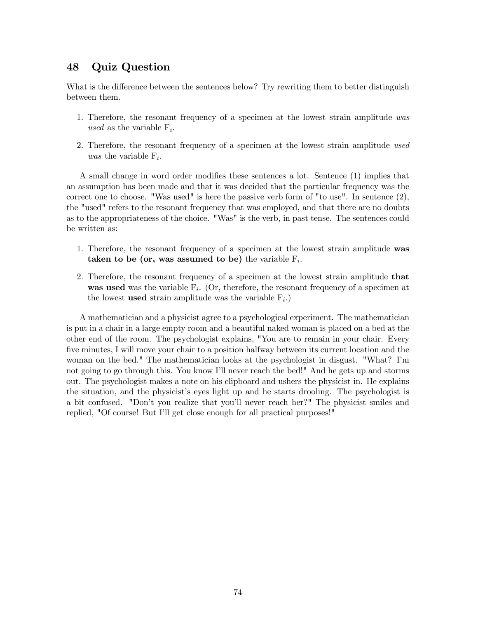# 48 Quiz Question

What is the difference between the sentences below? Try rewriting them to better distinguish between them.

- 1. Therefore, the resonant frequency of a specimen at the lowest strain amplitude was used as the variable  $F_i$ .
- 2. Therefore, the resonant frequency of a specimen at the lowest strain amplitude used was the variable  $F_i$ .

A small change in word order modifies these sentences a lot. Sentence (1) implies that an assumption has been made and that it was decided that the particular frequency was the correct one to choose. "Was used" is here the passive verb form of "to use". In sentence  $(2)$ , the "used" refers to the resonant frequency that was employed, and that there are no doubts as to the appropriateness of the choice. "Was" is the verb, in past tense. The sentences could be written as:

- 1. Therefore, the resonant frequency of a specimen at the lowest strain amplitude was taken to be (or, was assumed to be) the variable  $F_i$ .
- 2. Therefore, the resonant frequency of a specimen at the lowest strain amplitude that was used was the variable  $F_i$ . (Or, therefore, the resonant frequency of a specimen at the lowest **used** strain amplitude was the variable  $F_i$ .

A mathematician and a physicist agree to a psychological experiment. The mathematician is put in a chair in a large empty room and a beautiful naked woman is placed on a bed at the other end of the room. The psychologist explains, "You are to remain in your chair. Every five minutes, I will move your chair to a position halfway between its current location and the woman on the bed." The mathematician looks at the psychologist in disgust. "What? I'm not going to go through this. You know I'll never reach the bed!" And he gets up and storms out. The psychologist makes a note on his clipboard and ushers the physicist in. He explains the situation, and the physicist's eyes light up and he starts drooling. The psychologist is a bit confused. "Don't you realize that you'll never reach her?" The physicist smiles and replied, "Of course! But I'll get close enough for all practical purposes!"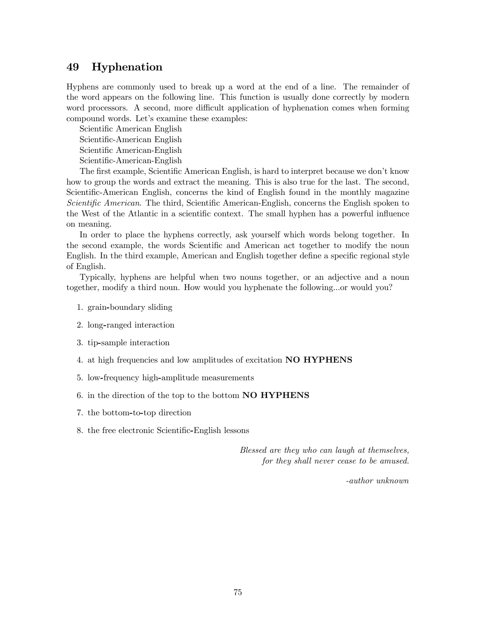## 49 Hyphenation

Hyphens are commonly used to break up a word at the end of a line. The remainder of the word appears on the following line. This function is usually done correctly by modern word processors. A second, more difficult application of hyphenation comes when forming compound words. Let's examine these examples:

Scientific American English Scientific-American English Scientific American-English Scientific-American-English

The first example, Scientific American English, is hard to interpret because we don't know how to group the words and extract the meaning. This is also true for the last. The second, Scientific-American English, concerns the kind of English found in the monthly magazine Scientific American. The third, Scientific American-English, concerns the English spoken to the West of the Atlantic in a scientific context. The small hyphen has a powerful influence on meaning.

In order to place the hyphens correctly, ask yourself which words belong together. In the second example, the words Scientific and American act together to modify the noun English. In the third example, American and English together define a specific regional style of English.

Typically, hyphens are helpful when two nouns together, or an adjective and a noun together, modify a third noun. How would you hyphenate the following...or would you?

- 1. grain-boundary sliding
- 2. long-ranged interaction
- 3. tip-sample interaction
- 4. at high frequencies and low amplitudes of excitation NO HYPHENS
- 5. low-frequency high-amplitude measurements
- 6. in the direction of the top to the bottom NO HYPHENS
- 7. the bottom-to-top direction
- 8. the free electronic Scientific-English lessons

Blessed are they who can laugh at themselves, for they shall never cease to be amused.

-author unknown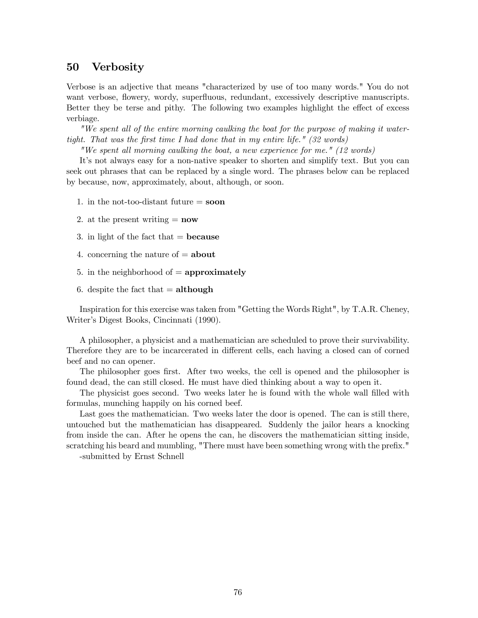## 50 Verbosity

Verbose is an adjective that means "characterized by use of too many words." You do not want verbose, flowery, wordy, superfluous, redundant, excessively descriptive manuscripts. Better they be terse and pithy. The following two examples highlight the effect of excess verbiage.

"We spent all of the entire morning caulking the boat for the purpose of making it watertight. That was the first time I had done that in my entire life." (32 words)

"We spent all morning caulking the boat, a new experience for me." (12 words)

It's not always easy for a non-native speaker to shorten and simplify text. But you can seek out phrases that can be replaced by a single word. The phrases below can be replaced by because, now, approximately, about, although, or soon.

- 1. in the not-too-distant future  $=$  soon
- 2. at the present writing  $=$  **now**
- 3. in light of the fact that  $=$  **because**
- 4. concerning the nature of  $=$  about
- 5. in the neighborhood of  $=$  approximately
- 6. despite the fact that  $=$  although

Inspiration for this exercise was taken from "Getting the Words Right", by T.A.R. Cheney, Writer's Digest Books, Cincinnati (1990).

A philosopher, a physicist and a mathematician are scheduled to prove their survivability. Therefore they are to be incarcerated in different cells, each having a closed can of corned beef and no can opener.

The philosopher goes first. After two weeks, the cell is opened and the philosopher is found dead, the can still closed. He must have died thinking about a way to open it.

The physicist goes second. Two weeks later he is found with the whole wall filled with formulas, munching happily on his corned beef.

Last goes the mathematician. Two weeks later the door is opened. The can is still there, untouched but the mathematician has disappeared. Suddenly the jailor hears a knocking from inside the can. After he opens the can, he discovers the mathematician sitting inside, scratching his beard and mumbling, "There must have been something wrong with the prefix."

-submitted by Ernst Schnell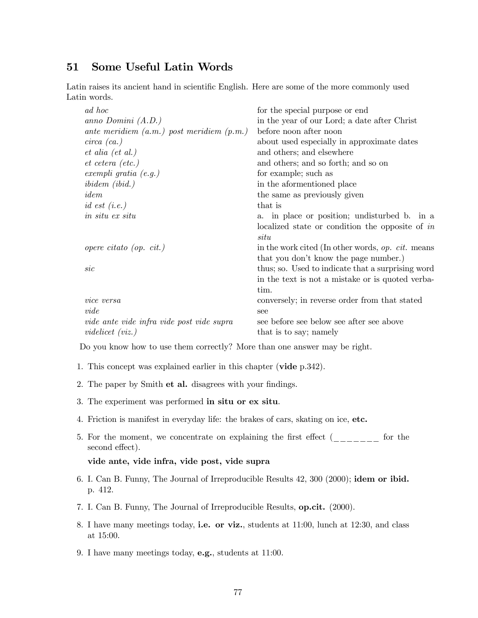## 51 Some Useful Latin Words

Latin raises its ancient hand in scientific English. Here are some of the more commonly used Latin words.

| ad hoc                                        | for the special purpose or end                      |
|-----------------------------------------------|-----------------------------------------------------|
| anno Domini $(A.D.)$                          | in the year of our Lord; a date after Christ        |
| ante meridiem $(a.m.)$ post meridiem $(p.m.)$ | before noon after noon                              |
| $circa$ (ca.)                                 | about used especially in approximate dates          |
| $et \text{ } ali \text{ } (et \text{ } al.)$  | and others; and elsewhere                           |
| $et \; cetera \; (etc.)$                      | and others; and so forth; and so on                 |
| exempli gratia $(e.g.)$                       | for example; such as                                |
| $ibidem$ (ibid.)                              | in the aformentioned place                          |
| idem                                          | the same as previously given                        |
| id est $(i.e.)$                               | that is                                             |
| in situ ex situ                               | a. in place or position; undisturbed b. in a        |
|                                               | localized state or condition the opposite of in     |
|                                               | situ                                                |
| opere citato (op. cit.)                       | in the work cited (In other words, $op. cit.$ means |
|                                               | that you don't know the page number.)               |
| $\it sic$                                     | thus; so. Used to indicate that a surprising word   |
|                                               | in the text is not a mistake or is quoted verba-    |
|                                               | tim.                                                |
| vice versa                                    | conversely; in reverse order from that stated       |
| $\emph{vide}$                                 | see                                                 |
| vide ante vide infra vide post vide supra     | see before see below see after see above            |
| <i>videlicet</i> $(viz.)$                     | that is to say; namely                              |

Do you know how to use them correctly? More than one answer may be right.

- 1. This concept was explained earlier in this chapter (vide p.342).
- 2. The paper by Smith et al. disagrees with your findings.
- 3. The experiment was performed in situ or ex situ.
- 4. Friction is manifest in everyday life: the brakes of cars, skating on ice, etc.
- 5. For the moment, we concentrate on explaining the first effect (\_\_\_\_\_\_\_ for the second effect).

### vide ante, vide infra, vide post, vide supra

- 6. I. Can B. Funny, The Journal of Irreproducible Results 42, 300 (2000); idem or ibid. p. 412.
- 7. I. Can B. Funny, The Journal of Irreproducible Results, op.cit. (2000).
- 8. I have many meetings today, i.e. or viz., students at 11:00, lunch at 12:30, and class at 15:00.
- 9. I have many meetings today, e.g., students at 11:00.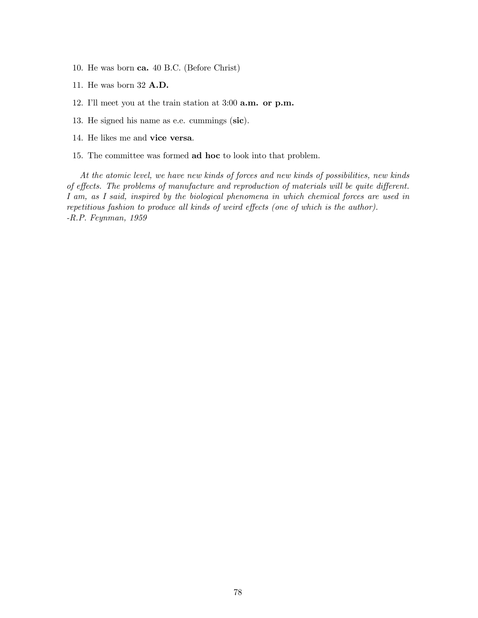- 10. He was born ca. 40 B.C. (Before Christ)
- 11. He was born 32 A.D.
- 12. I'll meet you at the train station at 3:00 a.m. or p.m.
- 13. He signed his name as e.e. cummings (sic).
- 14. He likes me and vice versa.
- 15. The committee was formed ad hoc to look into that problem.

At the atomic level, we have new kinds of forces and new kinds of possibilities, new kinds of effects. The problems of manufacture and reproduction of materials will be quite different. I am, as I said, inspired by the biological phenomena in which chemical forces are used in repetitious fashion to produce all kinds of weird effects (one of which is the author). -R.P. Feynman, 1959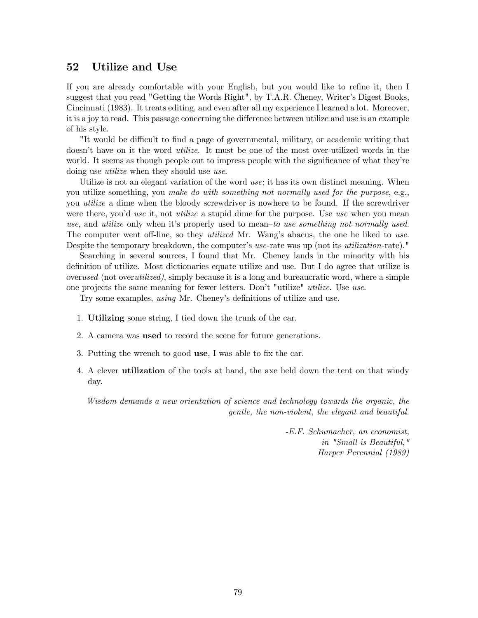## 52 Utilize and Use

If you are already comfortable with your English, but you would like to refine it, then I suggest that you read "Getting the Words Right", by T.A.R. Cheney, Writer's Digest Books, Cincinnati (1983). It treats editing, and even after all my experience I learned a lot. Moreover, it is a joy to read. This passage concerning the difference between utilize and use is an example of his style.

"It would be difficult to find a page of governmental, military, or academic writing that doesn't have on it the word utilize. It must be one of the most over-utilized words in the world. It seems as though people out to impress people with the significance of what they're doing use *utilize* when they should use *use*.

Utilize is not an elegant variation of the word use; it has its own distinct meaning. When you utilize something, you make do with something not normally used for the purpose, e.g., you utilize a dime when the bloody screwdriver is nowhere to be found. If the screwdriver were there, you'd use it, not utilize a stupid dime for the purpose. Use use when you mean use, and utilize only when it's properly used to mean—to use something not normally used. The computer went off-line, so they *utilized* Mr. Wang's abacus, the one he liked to use. Despite the temporary breakdown, the computer's use-rate was up (not its *utilization*-rate)."

Searching in several sources, I found that Mr. Cheney lands in the minority with his definition of utilize. Most dictionaries equate utilize and use. But I do agree that utilize is overused (not overutilized), simply because it is a long and bureaucratic word, where a simple one projects the same meaning for fewer letters. Don't "utilize" utilize. Use use.

Try some examples, using Mr. Cheney's definitions of utilize and use.

- 1. Utilizing some string, I tied down the trunk of the car.
- 2. A camera was used to record the scene for future generations.
- 3. Putting the wrench to good use, I was able to fix the car.
- 4. A clever utilization of the tools at hand, the axe held down the tent on that windy day.

Wisdom demands a new orientation of science and technology towards the organic, the gentle, the non-violent, the elegant and beautiful.

> -E.F. Schumacher, an economist, in "Small is Beautiful," Harper Perennial (1989)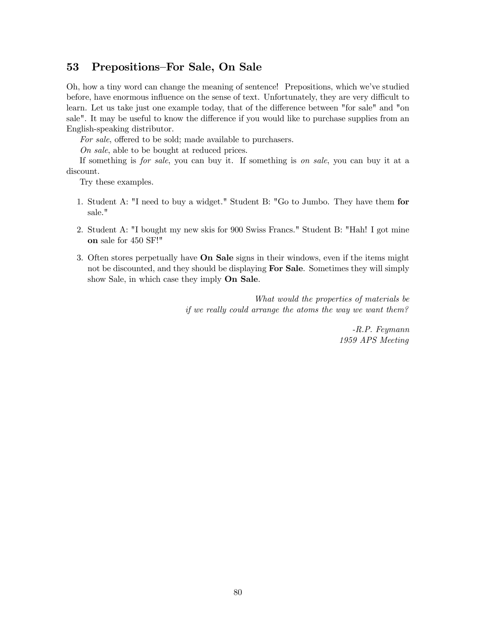## 53 Prepositions—For Sale, On Sale

Oh, how a tiny word can change the meaning of sentence! Prepositions, which we've studied before, have enormous influence on the sense of text. Unfortunately, they are very difficult to learn. Let us take just one example today, that of the difference between "for sale" and "on sale". It may be useful to know the difference if you would like to purchase supplies from an English-speaking distributor.

For sale, offered to be sold; made available to purchasers.

On sale, able to be bought at reduced prices.

If something is for sale, you can buy it. If something is on sale, you can buy it at a discount.

Try these examples.

- 1. Student A: "I need to buy a widget." Student B: "Go to Jumbo. They have them for sale."
- 2. Student A: "I bought my new skis for 900 Swiss Francs." Student B: "Hah! I got mine on sale for 450 SF!"
- 3. Often stores perpetually have On Sale signs in their windows, even if the items might not be discounted, and they should be displaying **For Sale**. Sometimes they will simply show Sale, in which case they imply On Sale.

What would the properties of materials be if we really could arrange the atoms the way we want them?

> -R.P. Feymann 1959 APS Meeting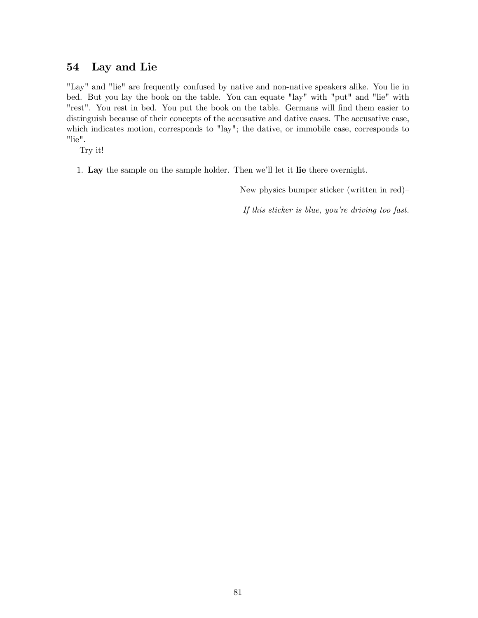# 54 Lay and Lie

"Lay" and "lie" are frequently confused by native and non-native speakers alike. You lie in bed. But you lay the book on the table. You can equate "lay" with "put" and "lie" with "rest". You rest in bed. You put the book on the table. Germans will find them easier to distinguish because of their concepts of the accusative and dative cases. The accusative case, which indicates motion, corresponds to "lay"; the dative, or immobile case, corresponds to "lie".

Try it!

1. Lay the sample on the sample holder. Then we'll let it lie there overnight.

New physics bumper sticker (written in red)—

If this sticker is blue, you're driving too fast.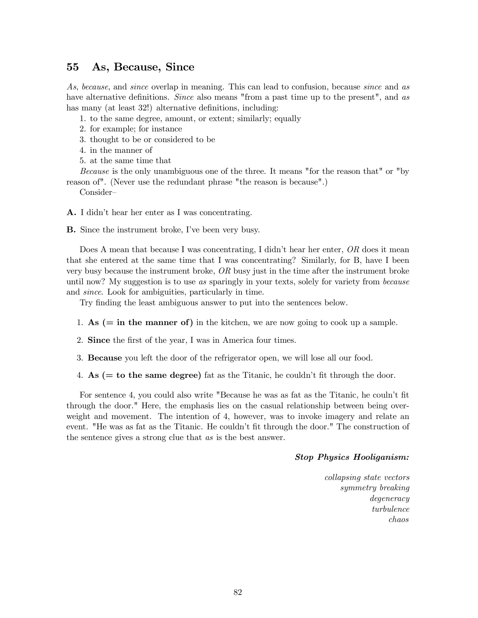## 55 As, Because, Since

As, because, and since overlap in meaning. This can lead to confusion, because since and as have alternative definitions. Since also means "from a past time up to the present", and as has many (at least 32!) alternative definitions, including:

1. to the same degree, amount, or extent; similarly; equally

- 2. for example; for instance
- 3. thought to be or considered to be
- 4. in the manner of
- 5. at the same time that

Because is the only unambiguous one of the three. It means "for the reason that" or "by reason of". (Never use the redundant phrase "the reason is because".)

Consider—

A. I didn't hear her enter as I was concentrating.

B. Since the instrument broke, I've been very busy.

Does A mean that because I was concentrating, I didn't hear her enter, OR does it mean that she entered at the same time that I was concentrating? Similarly, for B, have I been very busy because the instrument broke,  $OR$  busy just in the time after the instrument broke until now? My suggestion is to use as sparingly in your texts, solely for variety from because and since. Look for ambiguities, particularly in time.

Try finding the least ambiguous answer to put into the sentences below.

- 1. As  $(=$  in the manner of) in the kitchen, we are now going to cook up a sample.
- 2. Since the first of the year, I was in America four times.
- 3. Because you left the door of the refrigerator open, we will lose all our food.
- 4. As  $(=$  to the same degree) fat as the Titanic, he couldn't fit through the door.

For sentence 4, you could also write "Because he was as fat as the Titanic, he couln't fit through the door." Here, the emphasis lies on the casual relationship between being overweight and movement. The intention of 4, however, was to invoke imagery and relate an event. "He was as fat as the Titanic. He couldn't fit through the door." The construction of the sentence gives a strong clue that as is the best answer.

#### Stop Physics Hooliganism:

collapsing state vectors symmetry breaking degeneracy turbulence chaos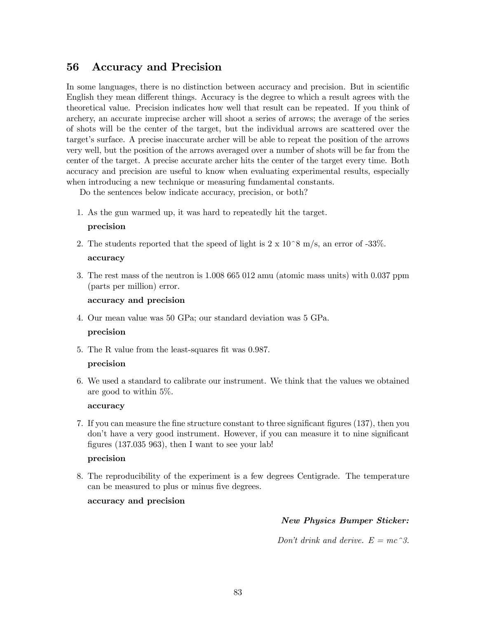# 56 Accuracy and Precision

In some languages, there is no distinction between accuracy and precision. But in scientific English they mean different things. Accuracy is the degree to which a result agrees with the theoretical value. Precision indicates how well that result can be repeated. If you think of archery, an accurate imprecise archer will shoot a series of arrows; the average of the series of shots will be the center of the target, but the individual arrows are scattered over the target's surface. A precise inaccurate archer will be able to repeat the position of the arrows very well, but the position of the arrows averaged over a number of shots will be far from the center of the target. A precise accurate archer hits the center of the target every time. Both accuracy and precision are useful to know when evaluating experimental results, especially when introducing a new technique or measuring fundamental constants.

Do the sentences below indicate accuracy, precision, or both?

1. As the gun warmed up, it was hard to repeatedly hit the target.

#### precision

2. The students reported that the speed of light is  $2 \times 10^8$  m/s, an error of -33%.

#### accuracy

3. The rest mass of the neutron is 1.008 665 012 amu (atomic mass units) with 0.037 ppm (parts per million) error.

#### accuracy and precision

4. Our mean value was 50 GPa; our standard deviation was 5 GPa.

#### precision

5. The R value from the least-squares fit was 0.987.

#### precision

6. We used a standard to calibrate our instrument. We think that the values we obtained are good to within 5%.

#### accuracy

7. If you can measure the fine structure constant to three significant figures (137), then you don't have a very good instrument. However, if you can measure it to nine significant figures (137.035 963), then I want to see your lab!

#### precision

8. The reproducibility of the experiment is a few degrees Centigrade. The temperature can be measured to plus or minus five degrees.

### accuracy and precision

### New Physics Bumper Sticker:

Don't drink and derive.  $E = mc^3$ .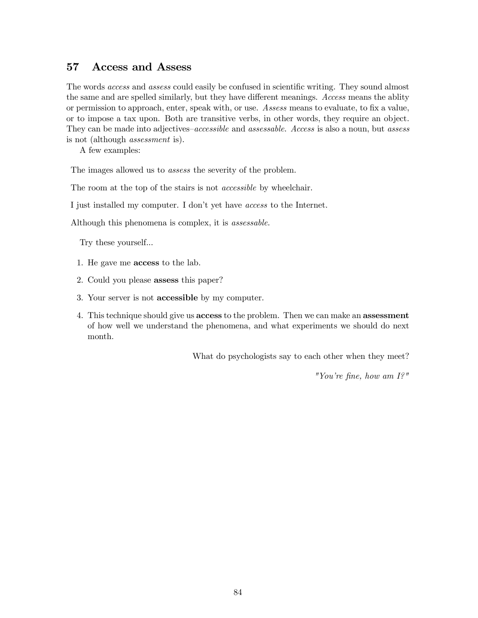## 57 Access and Assess

The words access and assess could easily be confused in scientific writing. They sound almost the same and are spelled similarly, but they have different meanings. Access means the ablity or permission to approach, enter, speak with, or use. Assess means to evaluate, to fix a value, or to impose a tax upon. Both are transitive verbs, in other words, they require an object. They can be made into adjectives–accessible and assessable. Access is also a noun, but assess is not (although assessment is).

A few examples:

The images allowed us to *assess* the severity of the problem.

The room at the top of the stairs is not *accessible* by wheelchair.

I just installed my computer. I don't yet have access to the Internet.

Although this phenomena is complex, it is assessable.

Try these yourself...

- 1. He gave me access to the lab.
- 2. Could you please assess this paper?
- 3. Your server is not accessible by my computer.
- 4. This technique should give us access to the problem. Then we can make an assessment of how well we understand the phenomena, and what experiments we should do next month.

What do psychologists say to each other when they meet?

"You're fine, how am I?"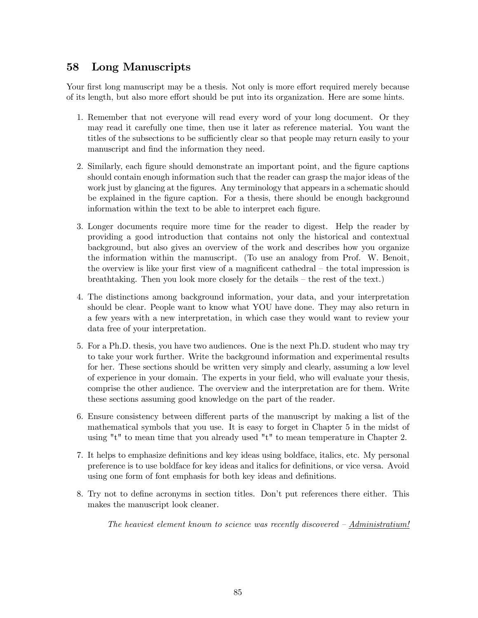# 58 Long Manuscripts

Your first long manuscript may be a thesis. Not only is more effort required merely because of its length, but also more effort should be put into its organization. Here are some hints.

- 1. Remember that not everyone will read every word of your long document. Or they may read it carefully one time, then use it later as reference material. You want the titles of the subsections to be sufficiently clear so that people may return easily to your manuscript and find the information they need.
- 2. Similarly, each figure should demonstrate an important point, and the figure captions should contain enough information such that the reader can grasp the major ideas of the work just by glancing at the figures. Any terminology that appears in a schematic should be explained in the figure caption. For a thesis, there should be enough background information within the text to be able to interpret each figure.
- 3. Longer documents require more time for the reader to digest. Help the reader by providing a good introduction that contains not only the historical and contextual background, but also gives an overview of the work and describes how you organize the information within the manuscript. (To use an analogy from Prof. W. Benoit, the overview is like your first view of a magnificent cathedral — the total impression is breathtaking. Then you look more closely for the details — the rest of the text.)
- 4. The distinctions among background information, your data, and your interpretation should be clear. People want to know what YOU have done. They may also return in a few years with a new interpretation, in which case they would want to review your data free of your interpretation.
- 5. For a Ph.D. thesis, you have two audiences. One is the next Ph.D. student who may try to take your work further. Write the background information and experimental results for her. These sections should be written very simply and clearly, assuming a low level of experience in your domain. The experts in your field, who will evaluate your thesis, comprise the other audience. The overview and the interpretation are for them. Write these sections assuming good knowledge on the part of the reader.
- 6. Ensure consistency between different parts of the manuscript by making a list of the mathematical symbols that you use. It is easy to forget in Chapter 5 in the midst of using "t" to mean time that you already used "t" to mean temperature in Chapter 2.
- 7. It helps to emphasize definitions and key ideas using boldface, italics, etc. My personal preference is to use boldface for key ideas and italics for definitions, or vice versa. Avoid using one form of font emphasis for both key ideas and definitions.
- 8. Try not to define acronyms in section titles. Don't put references there either. This makes the manuscript look cleaner.

The heaviest element known to science was recently discovered — Administratium!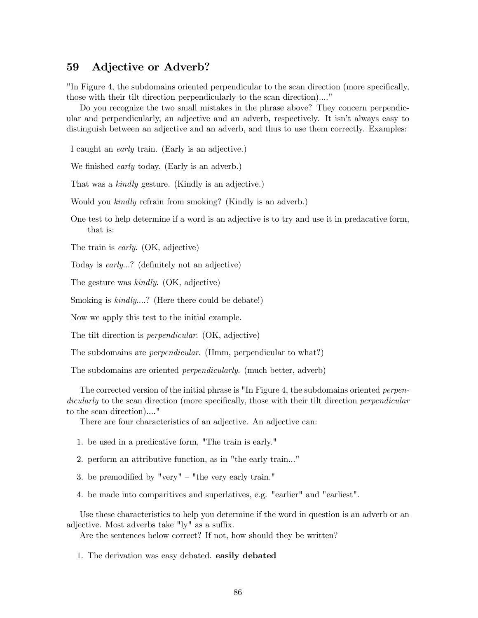## 59 Adjective or Adverb?

"In Figure 4, the subdomains oriented perpendicular to the scan direction (more specifically, those with their tilt direction perpendicularly to the scan direction)...."

Do you recognize the two small mistakes in the phrase above? They concern perpendicular and perpendicularly, an adjective and an adverb, respectively. It isn't always easy to distinguish between an adjective and an adverb, and thus to use them correctly. Examples:

I caught an early train. (Early is an adjective.)

We finished *early* today. (Early is an adverb.)

That was a kindly gesture. (Kindly is an adjective.)

Would you kindly refrain from smoking? (Kindly is an adverb.)

One test to help determine if a word is an adjective is to try and use it in predacative form, that is:

The train is *early*. (OK, adjective)

Today is early...? (definitely not an adjective)

The gesture was kindly. (OK, adjective)

Smoking is  $kindly....$ ? (Here there could be debate!)

Now we apply this test to the initial example.

The tilt direction is perpendicular. (OK, adjective)

The subdomains are *perpendicular*. (Hmm, perpendicular to what?)

The subdomains are oriented *perpendicularly*. (much better, adverb)

The corrected version of the initial phrase is "In Figure 4, the subdomains oriented *perpen*dicularly to the scan direction (more specifically, those with their tilt direction *perpendicular* to the scan direction)...."

There are four characteristics of an adjective. An adjective can:

- 1. be used in a predicative form, "The train is early."
- 2. perform an attributive function, as in "the early train..."
- 3. be premodified by "very"  $-$  "the very early train."
- 4. be made into comparitives and superlatives, e.g. "earlier" and "earliest".

Use these characteristics to help you determine if the word in question is an adverb or an adjective. Most adverbs take "ly" as a suffix.

Are the sentences below correct? If not, how should they be written?

1. The derivation was easy debated. easily debated